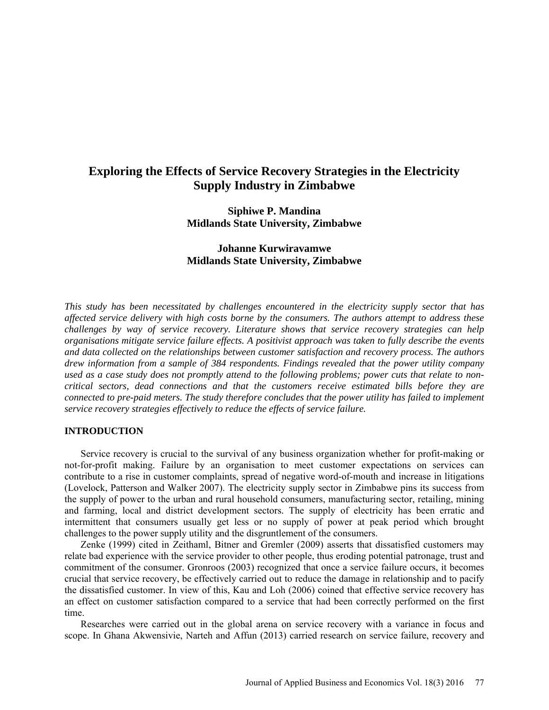# **Exploring the Effects of Service Recovery Strategies in the Electricity Supply Industry in Zimbabwe**

**Siphiwe P. Mandina Midlands State University, Zimbabwe**

# **Johanne Kurwiravamwe Midlands State University, Zimbabwe**

*This study has been necessitated by challenges encountered in the electricity supply sector that has affected service delivery with high costs borne by the consumers. The authors attempt to address these challenges by way of service recovery. Literature shows that service recovery strategies can help organisations mitigate service failure effects. A positivist approach was taken to fully describe the events and data collected on the relationships between customer satisfaction and recovery process. The authors drew information from a sample of 384 respondents. Findings revealed that the power utility company*  used as a case study does not promptly attend to the following problems; power cuts that relate to non*critical sectors, dead connections and that the customers receive estimated bills before they are connected to pre-paid meters. The study therefore concludes that the power utility has failed to implement service recovery strategies effectively to reduce the effects of service failure.* 

#### **INTRODUCTION**

Service recovery is crucial to the survival of any business organization whether for profit-making or not-for-profit making. Failure by an organisation to meet customer expectations on services can contribute to a rise in customer complaints, spread of negative word-of-mouth and increase in litigations (Lovelock, Patterson and Walker 2007). The electricity supply sector in Zimbabwe pins its success from the supply of power to the urban and rural household consumers, manufacturing sector, retailing, mining and farming, local and district development sectors. The supply of electricity has been erratic and intermittent that consumers usually get less or no supply of power at peak period which brought challenges to the power supply utility and the disgruntlement of the consumers.

Zenke (1999) cited in Zeithaml, Bitner and Gremler (2009) asserts that dissatisfied customers may relate bad experience with the service provider to other people, thus eroding potential patronage, trust and commitment of the consumer. Gronroos (2003) recognized that once a service failure occurs, it becomes crucial that service recovery, be effectively carried out to reduce the damage in relationship and to pacify the dissatisfied customer. In view of this, Kau and Loh (2006) coined that effective service recovery has an effect on customer satisfaction compared to a service that had been correctly performed on the first time.

Researches were carried out in the global arena on service recovery with a variance in focus and scope. In Ghana Akwensivie, Narteh and Affun (2013) carried research on service failure, recovery and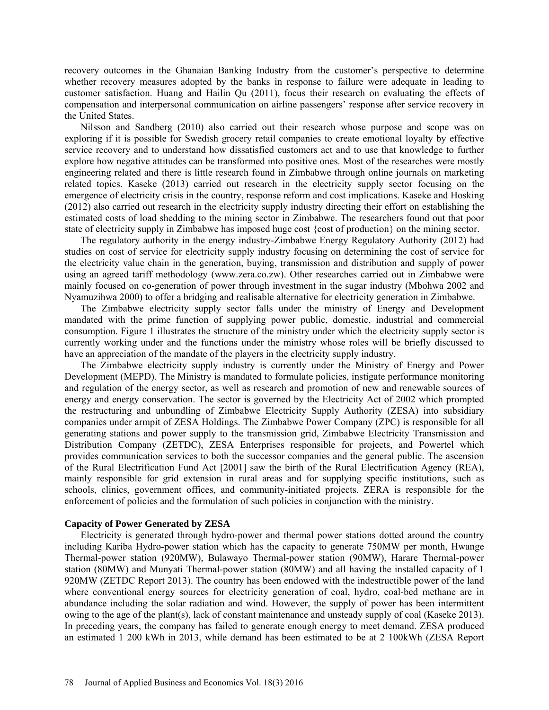recovery outcomes in the Ghanaian Banking Industry from the customer's perspective to determine whether recovery measures adopted by the banks in response to failure were adequate in leading to customer satisfaction. Huang and Hailin Qu (2011), focus their research on evaluating the effects of compensation and interpersonal communication on airline passengers' response after service recovery in the United States.

Nilsson and Sandberg (2010) also carried out their research whose purpose and scope was on exploring if it is possible for Swedish grocery retail companies to create emotional loyalty by effective service recovery and to understand how dissatisfied customers act and to use that knowledge to further explore how negative attitudes can be transformed into positive ones. Most of the researches were mostly engineering related and there is little research found in Zimbabwe through online journals on marketing related topics. Kaseke (2013) carried out research in the electricity supply sector focusing on the emergence of electricity crisis in the country, response reform and cost implications. Kaseke and Hosking (2012) also carried out research in the electricity supply industry directing their effort on establishing the estimated costs of load shedding to the mining sector in Zimbabwe. The researchers found out that poor state of electricity supply in Zimbabwe has imposed huge cost {cost of production} on the mining sector.

The regulatory authority in the energy industry-Zimbabwe Energy Regulatory Authority (2012) had studies on cost of service for electricity supply industry focusing on determining the cost of service for the electricity value chain in the generation, buying, transmission and distribution and supply of power using an agreed tariff methodology [\(www.zera.co.zw\)](http://www.zera.co.zw/). Other researches carried out in Zimbabwe were mainly focused on co-generation of power through investment in the sugar industry (Mbohwa 2002 and Nyamuzihwa 2000) to offer a bridging and realisable alternative for electricity generation in Zimbabwe.

The Zimbabwe electricity supply sector falls under the ministry of Energy and Development mandated with the prime function of supplying power public, domestic, industrial and commercial consumption. Figure 1 illustrates the structure of the ministry under which the electricity supply sector is currently working under and the functions under the ministry whose roles will be briefly discussed to have an appreciation of the mandate of the players in the electricity supply industry.

The Zimbabwe electricity supply industry is currently under the Ministry of Energy and Power Development (MEPD). The Ministry is mandated to formulate policies, instigate performance monitoring and regulation of the energy sector, as well as research and promotion of new and renewable sources of energy and energy conservation. The sector is governed by the Electricity Act of 2002 which prompted the restructuring and unbundling of Zimbabwe Electricity Supply Authority (ZESA) into subsidiary companies under armpit of ZESA Holdings. The Zimbabwe Power Company (ZPC) is responsible for all generating stations and power supply to the transmission grid, Zimbabwe Electricity Transmission and Distribution Company (ZETDC), ZESA Enterprises responsible for projects, and Powertel which provides communication services to both the successor companies and the general public. The ascension of the Rural Electrification Fund Act [2001] saw the birth of the Rural Electrification Agency (REA), mainly responsible for grid extension in rural areas and for supplying specific institutions, such as schools, clinics, government offices, and community-initiated projects. ZERA is responsible for the enforcement of policies and the formulation of such policies in conjunction with the ministry.

# **Capacity of Power Generated by ZESA**

Electricity is generated through hydro-power and thermal power stations dotted around the country including Kariba Hydro-power station which has the capacity to generate 750MW per month, Hwange Thermal-power station (920MW), Bulawayo Thermal-power station (90MW), Harare Thermal-power station (80MW) and Munyati Thermal-power station (80MW) and all having the installed capacity of 1 920MW (ZETDC Report 2013). The country has been endowed with the indestructible power of the land where conventional energy sources for electricity generation of coal, hydro, coal-bed methane are in abundance including the solar radiation and wind. However, the supply of power has been intermittent owing to the age of the plant(s), lack of constant maintenance and unsteady supply of coal (Kaseke 2013). In preceding years, the company has failed to generate enough energy to meet demand. ZESA produced an estimated 1 200 kWh in 2013, while demand has been estimated to be at 2 100kWh (ZESA Report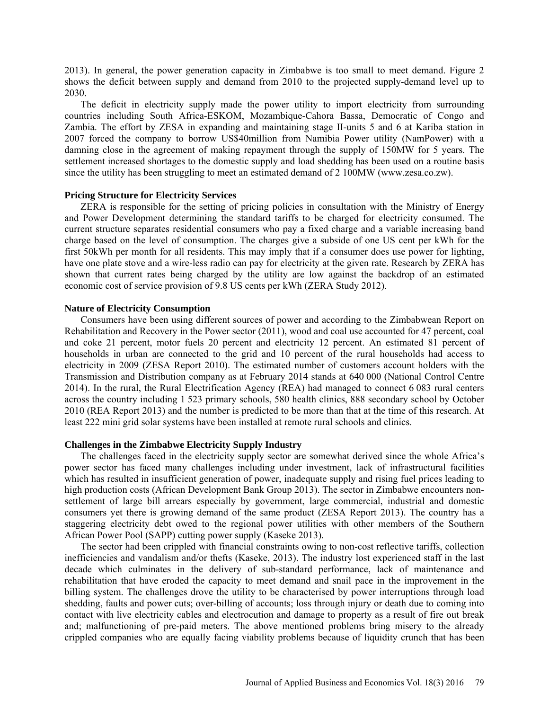2013). In general, the power generation capacity in Zimbabwe is too small to meet demand. Figure 2 shows the deficit between supply and demand from 2010 to the projected supply-demand level up to 2030.

The deficit in electricity supply made the power utility to import electricity from surrounding countries including South Africa-ESKOM, Mozambique-Cahora Bassa, Democratic of Congo and Zambia. The effort by ZESA in expanding and maintaining stage II-units 5 and 6 at Kariba station in 2007 forced the company to borrow US\$40million from Namibia Power utility (NamPower) with a damning close in the agreement of making repayment through the supply of 150MW for 5 years. The settlement increased shortages to the domestic supply and [load shedding](http://en.wikipedia.org/wiki/Rolling_blackout) has been used on a routine basis since the utility has been struggling to meet an estimated demand of 2 100MW [\(www.zesa.co.zw\)](http://www.zesa.co.zw/).

#### **Pricing Structure for Electricity Services**

ZERA is responsible for the setting of pricing policies in consultation with the Ministry of Energy and Power Development determining the standard tariffs to be charged for electricity consumed. The current structure separates residential consumers who pay a fixed charge and a variable increasing band charge based on the level of consumption. The charges give a subside of one US cent per kWh for the first 50kWh per month for all residents. This may imply that if a consumer does use power for lighting, have one plate stove and a wire-less radio can pay for electricity at the given rate. Research by ZERA has shown that current rates being charged by the utility are low against the backdrop of an estimated economic cost of service provision of 9.8 US cents per kWh (ZERA Study 2012).

#### **Nature of Electricity Consumption**

Consumers have been using different sources of power and according to the Zimbabwean Report on Rehabilitation and Recovery in the Power sector (2011), wood and coal use accounted for 47 percent, coal and coke 21 percent, motor fuels 20 percent and electricity 12 percent. An estimated 81 percent of households in urban are connected to the grid and 10 percent of the rural households had access to electricity in 2009 (ZESA Report 2010). The estimated number of customers account holders with the Transmission and Distribution company as at February 2014 stands at 640 000 (National Control Centre 2014). In the rural, the Rural Electrification Agency (REA) had managed to connect 6 083 rural centers across the country including 1 523 primary schools, 580 health clinics, 888 secondary school by October 2010 (REA Report 2013) and the number is predicted to be more than that at the time of this research. At least 222 mini grid solar systems have been installed at remote rural schools and clinics.

#### **Challenges in the Zimbabwe Electricity Supply Industry**

The challenges faced in the electricity supply sector are somewhat derived since the whole Africa's power sector has faced many challenges including under investment, lack of infrastructural facilities which has resulted in insufficient generation of power, inadequate supply and rising fuel prices leading to high production costs (African Development Bank Group 2013). The sector in Zimbabwe encounters nonsettlement of large bill arrears especially by government, large commercial, industrial and domestic consumers yet there is growing demand of the same product (ZESA Report 2013). The country has a staggering electricity debt owed to the regional power utilities with other members of the Southern African Power Pool (SAPP) cutting power supply (Kaseke 2013).

The sector had been crippled with financial constraints owing to non-cost reflective tariffs, collection inefficiencies and vandalism and/or thefts (Kaseke, 2013). The industry lost experienced staff in the last decade which culminates in the delivery of sub-standard performance, lack of maintenance and rehabilitation that have eroded the capacity to meet demand and snail pace in the improvement in the billing system. The challenges drove the utility to be characterised by power interruptions through load shedding, faults and power cuts; over-billing of accounts; loss through injury or death due to coming into contact with live electricity cables and electrocution and damage to property as a result of fire out break and; malfunctioning of pre-paid meters. The above mentioned problems bring misery to the already crippled companies who are equally facing viability problems because of liquidity crunch that has been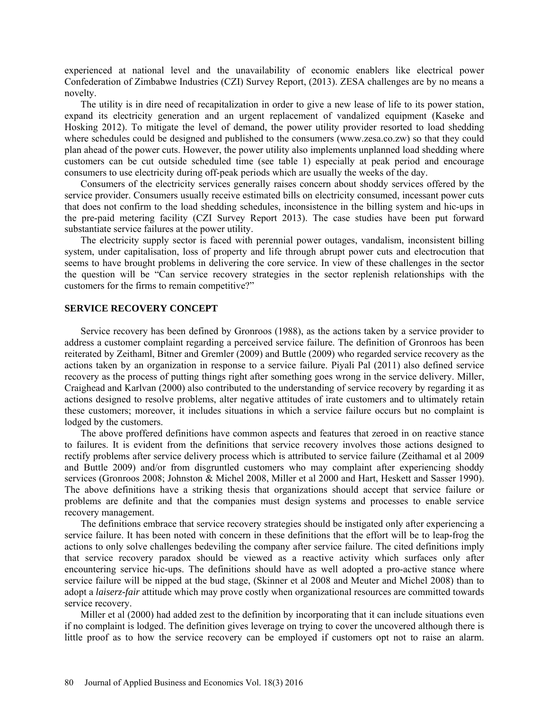experienced at national level and the unavailability of economic enablers like electrical power Confederation of Zimbabwe Industries (CZI) Survey Report, (2013). ZESA challenges are by no means a novelty.

The utility is in dire need of recapitalization in order to give a new lease of life to its power station, expand its electricity generation and an urgent replacement of vandalized equipment (Kaseke and Hosking 2012). To mitigate the level of demand, the power utility provider resorted to load shedding where schedules could be designed and published to the consumers (www.zesa.co.zw) so that they could plan ahead of the power cuts. However, the power utility also implements unplanned load shedding where customers can be cut outside scheduled time (see table 1) especially at peak period and encourage consumers to use electricity during off-peak periods which are usually the weeks of the day.

Consumers of the electricity services generally raises concern about shoddy services offered by the service provider. Consumers usually receive estimated bills on electricity consumed, incessant power cuts that does not confirm to the load shedding schedules, inconsistence in the billing system and hic-ups in the pre-paid metering facility (CZI Survey Report 2013). The case studies have been put forward substantiate service failures at the power utility.

The electricity supply sector is faced with perennial power outages, vandalism, inconsistent billing system, under capitalisation, loss of property and life through abrupt power cuts and electrocution that seems to have brought problems in delivering the core service. In view of these challenges in the sector the question will be "Can service recovery strategies in the sector replenish relationships with the customers for the firms to remain competitive?"

#### **SERVICE RECOVERY CONCEPT**

Service recovery has been defined by Gronroos (1988), as the actions taken by a service provider to address a customer complaint regarding a perceived service failure. The definition of Gronroos has been reiterated by Zeithaml, Bitner and Gremler (2009) and Buttle (2009) who regarded service recovery as the actions taken by an organization in response to a service failure. Piyali Pal (2011) also defined service recovery as the process of putting things right after something goes wrong in the service delivery. Miller, Craighead and Karlvan (2000) also contributed to the understanding of service recovery by regarding it as actions designed to resolve problems, alter negative attitudes of irate customers and to ultimately retain these customers; moreover, it includes situations in which a service failure occurs but no complaint is lodged by the customers.

The above proffered definitions have common aspects and features that zeroed in on reactive stance to failures. It is evident from the definitions that service recovery involves those actions designed to rectify problems after service delivery process which is attributed to service failure (Zeithamal et al 2009 and Buttle 2009) and/or from disgruntled customers who may complaint after experiencing shoddy services (Gronroos 2008; Johnston & Michel 2008, Miller et al 2000 and Hart, Heskett and Sasser 1990). The above definitions have a striking thesis that organizations should accept that service failure or problems are definite and that the companies must design systems and processes to enable service recovery management.

The definitions embrace that service recovery strategies should be instigated only after experiencing a service failure. It has been noted with concern in these definitions that the effort will be to leap-frog the actions to only solve challenges bedeviling the company after service failure. The cited definitions imply that service recovery paradox should be viewed as a reactive activity which surfaces only after encountering service hic-ups. The definitions should have as well adopted a pro-active stance where service failure will be nipped at the bud stage, (Skinner et al 2008 and Meuter and Michel 2008) than to adopt a *laiserz-fair* attitude which may prove costly when organizational resources are committed towards service recovery.

Miller et al (2000) had added zest to the definition by incorporating that it can include situations even if no complaint is lodged. The definition gives leverage on trying to cover the uncovered although there is little proof as to how the service recovery can be employed if customers opt not to raise an alarm.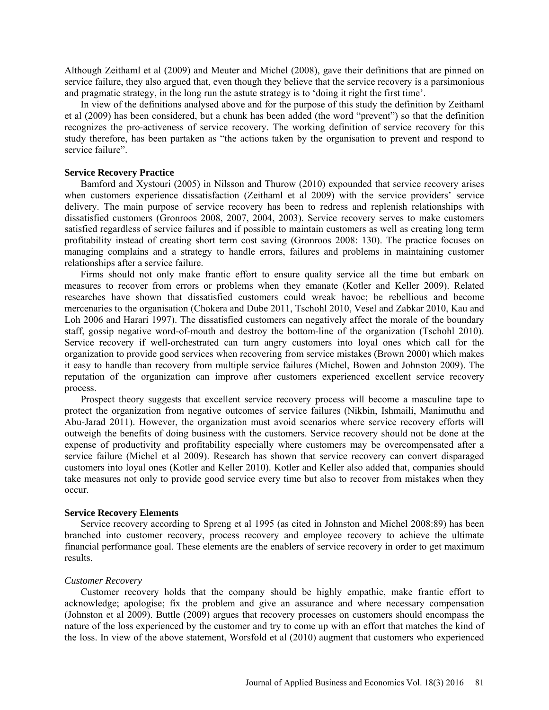Although Zeithaml et al (2009) and Meuter and Michel (2008), gave their definitions that are pinned on service failure, they also argued that, even though they believe that the service recovery is a parsimonious and pragmatic strategy, in the long run the astute strategy is to 'doing it right the first time'.

In view of the definitions analysed above and for the purpose of this study the definition by Zeithaml et al (2009) has been considered, but a chunk has been added (the word "prevent") so that the definition recognizes the pro-activeness of service recovery. The working definition of service recovery for this study therefore, has been partaken as "the actions taken by the organisation to prevent and respond to service failure".

#### **Service Recovery Practice**

Bamford and Xystouri (2005) in Nilsson and Thurow (2010) expounded that service recovery arises when customers experience dissatisfaction (Zeithaml et al 2009) with the service providers' service delivery. The main purpose of service recovery has been to redress and replenish relationships with dissatisfied customers (Gronroos 2008, 2007, 2004, 2003). Service recovery serves to make customers satisfied regardless of service failures and if possible to maintain customers as well as creating long term profitability instead of creating short term cost saving (Gronroos 2008: 130). The practice focuses on managing complains and a strategy to handle errors, failures and problems in maintaining customer relationships after a service failure.

Firms should not only make frantic effort to ensure quality service all the time but embark on measures to recover from errors or problems when they emanate (Kotler and Keller 2009). Related researches have shown that dissatisfied customers could wreak havoc; be rebellious and become mercenaries to the organisation (Chokera and Dube 2011, Tschohl 2010, Vesel and Zabkar 2010, Kau and Loh 2006 and Harari 1997). The dissatisfied customers can negatively affect the morale of the boundary staff, gossip negative word-of-mouth and destroy the bottom-line of the organization (Tschohl 2010). Service recovery if well-orchestrated can turn angry customers into loyal ones which call for the organization to provide good services when recovering from service mistakes (Brown 2000) which makes it easy to handle than recovery from multiple service failures (Michel, Bowen and Johnston 2009). The reputation of the organization can improve after customers experienced excellent service recovery process.

Prospect theory suggests that excellent service recovery process will become a masculine tape to protect the organization from negative outcomes of service failures (Nikbin, Ishmaili, Manimuthu and Abu-Jarad 2011). However, the organization must avoid scenarios where service recovery efforts will outweigh the benefits of doing business with the customers. Service recovery should not be done at the expense of productivity and profitability especially where customers may be overcompensated after a service failure (Michel et al 2009). Research has shown that service recovery can convert disparaged customers into loyal ones (Kotler and Keller 2010). Kotler and Keller also added that, companies should take measures not only to provide good service every time but also to recover from mistakes when they occur.

#### **Service Recovery Elements**

Service recovery according to Spreng et al 1995 (as cited in Johnston and Michel 2008:89) has been branched into customer recovery, process recovery and employee recovery to achieve the ultimate financial performance goal. These elements are the enablers of service recovery in order to get maximum results.

#### *Customer Recovery*

Customer recovery holds that the company should be highly empathic, make frantic effort to acknowledge; apologise; fix the problem and give an assurance and where necessary compensation (Johnston et al 2009). Buttle (2009) argues that recovery processes on customers should encompass the nature of the loss experienced by the customer and try to come up with an effort that matches the kind of the loss. In view of the above statement, Worsfold et al (2010) augment that customers who experienced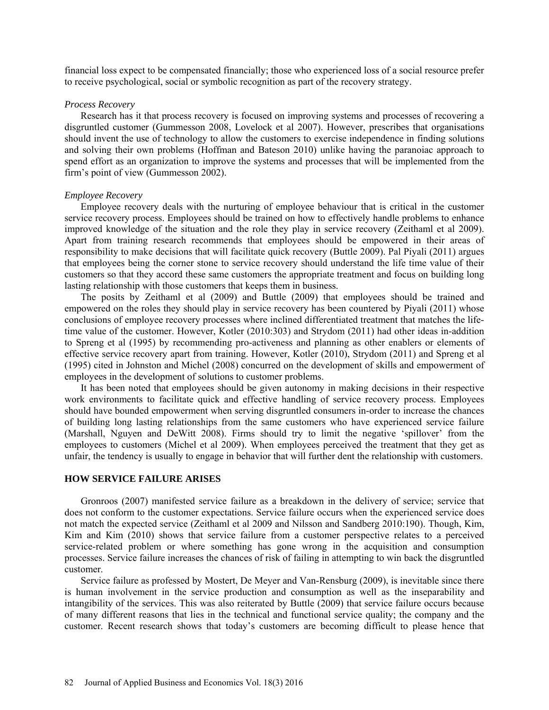financial loss expect to be compensated financially; those who experienced loss of a social resource prefer to receive psychological, social or symbolic recognition as part of the recovery strategy.

#### *Process Recovery*

Research has it that process recovery is focused on improving systems and processes of recovering a disgruntled customer (Gummesson 2008, Lovelock et al 2007). However, prescribes that organisations should invent the use of technology to allow the customers to exercise independence in finding solutions and solving their own problems (Hoffman and Bateson 2010) unlike having the paranoiac approach to spend effort as an organization to improve the systems and processes that will be implemented from the firm's point of view (Gummesson 2002).

### *Employee Recovery*

Employee recovery deals with the nurturing of employee behaviour that is critical in the customer service recovery process. Employees should be trained on how to effectively handle problems to enhance improved knowledge of the situation and the role they play in service recovery (Zeithaml et al 2009). Apart from training research recommends that employees should be empowered in their areas of responsibility to make decisions that will facilitate quick recovery (Buttle 2009). Pal Piyali (2011) argues that employees being the corner stone to service recovery should understand the life time value of their customers so that they accord these same customers the appropriate treatment and focus on building long lasting relationship with those customers that keeps them in business.

The posits by Zeithaml et al (2009) and Buttle (2009) that employees should be trained and empowered on the roles they should play in service recovery has been countered by Piyali (2011) whose conclusions of employee recovery processes where inclined differentiated treatment that matches the lifetime value of the customer. However, Kotler (2010:303) and Strydom (2011) had other ideas in-addition to Spreng et al (1995) by recommending pro-activeness and planning as other enablers or elements of effective service recovery apart from training. However, Kotler (2010), Strydom (2011) and Spreng et al (1995) cited in Johnston and Michel (2008) concurred on the development of skills and empowerment of employees in the development of solutions to customer problems.

It has been noted that employees should be given autonomy in making decisions in their respective work environments to facilitate quick and effective handling of service recovery process. Employees should have bounded empowerment when serving disgruntled consumers in-order to increase the chances of building long lasting relationships from the same customers who have experienced service failure (Marshall, Nguyen and DeWitt 2008). Firms should try to limit the negative 'spillover' from the employees to customers (Michel et al 2009). When employees perceived the treatment that they get as unfair, the tendency is usually to engage in behavior that will further dent the relationship with customers.

# **HOW SERVICE FAILURE ARISES**

Gronroos (2007) manifested service failure as a breakdown in the delivery of service; service that does not conform to the customer expectations. Service failure occurs when the experienced service does not match the expected service (Zeithaml et al 2009 and Nilsson and Sandberg 2010:190). Though, Kim, Kim and Kim (2010) shows that service failure from a customer perspective relates to a perceived service-related problem or where something has gone wrong in the acquisition and consumption processes. Service failure increases the chances of risk of failing in attempting to win back the disgruntled customer.

Service failure as professed by Mostert, De Meyer and Van-Rensburg (2009), is inevitable since there is human involvement in the service production and consumption as well as the inseparability and intangibility of the services. This was also reiterated by Buttle (2009) that service failure occurs because of many different reasons that lies in the technical and functional service quality; the company and the customer. Recent research shows that today's customers are becoming difficult to please hence that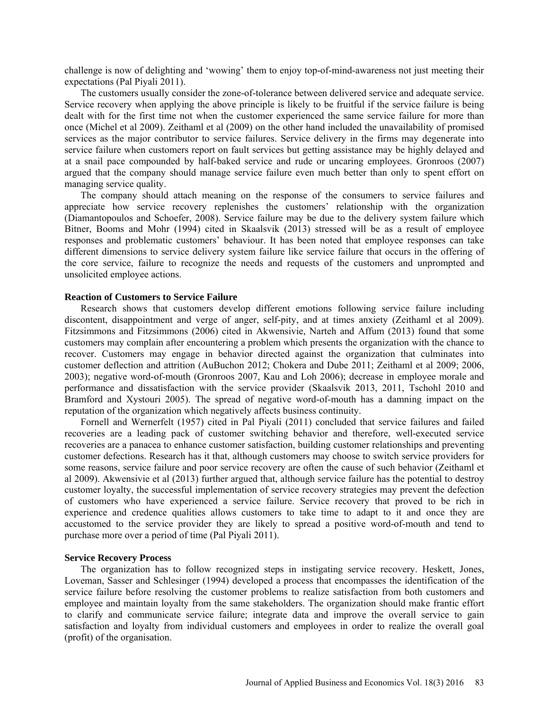challenge is now of delighting and 'wowing' them to enjoy top-of-mind-awareness not just meeting their expectations (Pal Piyali 2011).

The customers usually consider the zone-of-tolerance between delivered service and adequate service. Service recovery when applying the above principle is likely to be fruitful if the service failure is being dealt with for the first time not when the customer experienced the same service failure for more than once (Michel et al 2009). Zeithaml et al (2009) on the other hand included the unavailability of promised services as the major contributor to service failures. Service delivery in the firms may degenerate into service failure when customers report on fault services but getting assistance may be highly delayed and at a snail pace compounded by half-baked service and rude or uncaring employees. Gronroos (2007) argued that the company should manage service failure even much better than only to spent effort on managing service quality.

The company should attach meaning on the response of the consumers to service failures and appreciate how service recovery replenishes the customers' relationship with the organization (Diamantopoulos and Schoefer, 2008). Service failure may be due to the delivery system failure which Bitner, Booms and Mohr (1994) cited in Skaalsvik (2013) stressed will be as a result of employee responses and problematic customers' behaviour. It has been noted that employee responses can take different dimensions to service delivery system failure like service failure that occurs in the offering of the core service, failure to recognize the needs and requests of the customers and unprompted and unsolicited employee actions.

#### **Reaction of Customers to Service Failure**

Research shows that customers develop different emotions following service failure including discontent, disappointment and verge of anger, self-pity, and at times anxiety (Zeithaml et al 2009). Fitzsimmons and Fitzsimmons (2006) cited in Akwensivie, Narteh and Affum (2013) found that some customers may complain after encountering a problem which presents the organization with the chance to recover. Customers may engage in behavior directed against the organization that culminates into customer deflection and attrition (AuBuchon 2012; Chokera and Dube 2011; Zeithaml et al 2009; 2006, 2003); negative word-of-mouth (Gronroos 2007, Kau and Loh 2006); decrease in employee morale and performance and dissatisfaction with the service provider (Skaalsvik 2013, 2011, Tschohl 2010 and Bramford and Xystouri 2005). The spread of negative word-of-mouth has a damning impact on the reputation of the organization which negatively affects business continuity.

Fornell and Wernerfelt (1957) cited in Pal Piyali (2011) concluded that service failures and failed recoveries are a leading pack of customer switching behavior and therefore, well-executed service recoveries are a panacea to enhance customer satisfaction, building customer relationships and preventing customer defections. Research has it that, although customers may choose to switch service providers for some reasons, service failure and poor service recovery are often the cause of such behavior (Zeithaml et al 2009). Akwensivie et al (2013) further argued that, although service failure has the potential to destroy customer loyalty, the successful implementation of service recovery strategies may prevent the defection of customers who have experienced a service failure. Service recovery that proved to be rich in experience and credence qualities allows customers to take time to adapt to it and once they are accustomed to the service provider they are likely to spread a positive word-of-mouth and tend to purchase more over a period of time (Pal Piyali 2011).

#### **Service Recovery Process**

The organization has to follow recognized steps in instigating service recovery. Heskett, Jones, Loveman, Sasser and Schlesinger (1994) developed a process that encompasses the identification of the service failure before resolving the customer problems to realize satisfaction from both customers and employee and maintain loyalty from the same stakeholders. The organization should make frantic effort to clarify and communicate service failure; integrate data and improve the overall service to gain satisfaction and loyalty from individual customers and employees in order to realize the overall goal (profit) of the organisation.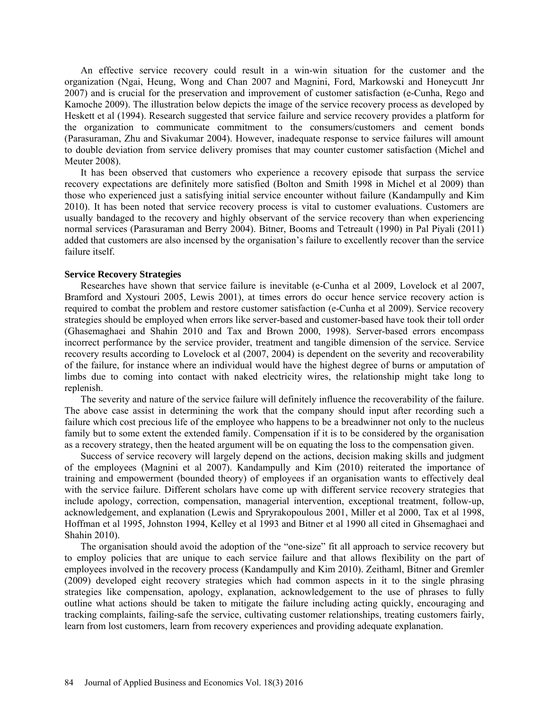An effective service recovery could result in a win-win situation for the customer and the organization (Ngai, Heung, Wong and Chan 2007 and Magnini, Ford, Markowski and Honeycutt Jnr 2007) and is crucial for the preservation and improvement of customer satisfaction (e-Cunha, Rego and Kamoche 2009). The illustration below depicts the image of the service recovery process as developed by Heskett et al (1994). Research suggested that service failure and service recovery provides a platform for the organization to communicate commitment to the consumers/customers and cement bonds (Parasuraman, Zhu and Sivakumar 2004). However, inadequate response to service failures will amount to double deviation from service delivery promises that may counter customer satisfaction (Michel and Meuter 2008).

It has been observed that customers who experience a recovery episode that surpass the service recovery expectations are definitely more satisfied (Bolton and Smith 1998 in Michel et al 2009) than those who experienced just a satisfying initial service encounter without failure (Kandampully and Kim 2010). It has been noted that service recovery process is vital to customer evaluations. Customers are usually bandaged to the recovery and highly observant of the service recovery than when experiencing normal services (Parasuraman and Berry 2004). Bitner, Booms and Tetreault (1990) in Pal Piyali (2011) added that customers are also incensed by the organisation's failure to excellently recover than the service failure itself.

#### **Service Recovery Strategies**

Researches have shown that service failure is inevitable (e-Cunha et al 2009, Lovelock et al 2007, Bramford and Xystouri 2005, Lewis 2001), at times errors do occur hence service recovery action is required to combat the problem and restore customer satisfaction (e-Cunha et al 2009). Service recovery strategies should be employed when errors like server-based and customer-based have took their toll order (Ghasemaghaei and Shahin 2010 and Tax and Brown 2000, 1998). Server-based errors encompass incorrect performance by the service provider, treatment and tangible dimension of the service. Service recovery results according to Lovelock et al (2007, 2004) is dependent on the severity and recoverability of the failure, for instance where an individual would have the highest degree of burns or amputation of limbs due to coming into contact with naked electricity wires, the relationship might take long to replenish.

The severity and nature of the service failure will definitely influence the recoverability of the failure. The above case assist in determining the work that the company should input after recording such a failure which cost precious life of the employee who happens to be a breadwinner not only to the nucleus family but to some extent the extended family. Compensation if it is to be considered by the organisation as a recovery strategy, then the heated argument will be on equating the loss to the compensation given.

Success of service recovery will largely depend on the actions, decision making skills and judgment of the employees (Magnini et al 2007). Kandampully and Kim (2010) reiterated the importance of training and empowerment (bounded theory) of employees if an organisation wants to effectively deal with the service failure. Different scholars have come up with different service recovery strategies that include apology, correction, compensation, managerial intervention, exceptional treatment, follow-up, acknowledgement, and explanation (Lewis and Spryrakopoulous 2001, Miller et al 2000, Tax et al 1998, Hoffman et al 1995, Johnston 1994, Kelley et al 1993 and Bitner et al 1990 all cited in Ghsemaghaei and Shahin 2010).

The organisation should avoid the adoption of the "one-size" fit all approach to service recovery but to employ policies that are unique to each service failure and that allows flexibility on the part of employees involved in the recovery process (Kandampully and Kim 2010). Zeithaml, Bitner and Gremler (2009) developed eight recovery strategies which had common aspects in it to the single phrasing strategies like compensation, apology, explanation, acknowledgement to the use of phrases to fully outline what actions should be taken to mitigate the failure including acting quickly, encouraging and tracking complaints, failing-safe the service, cultivating customer relationships, treating customers fairly, learn from lost customers, learn from recovery experiences and providing adequate explanation.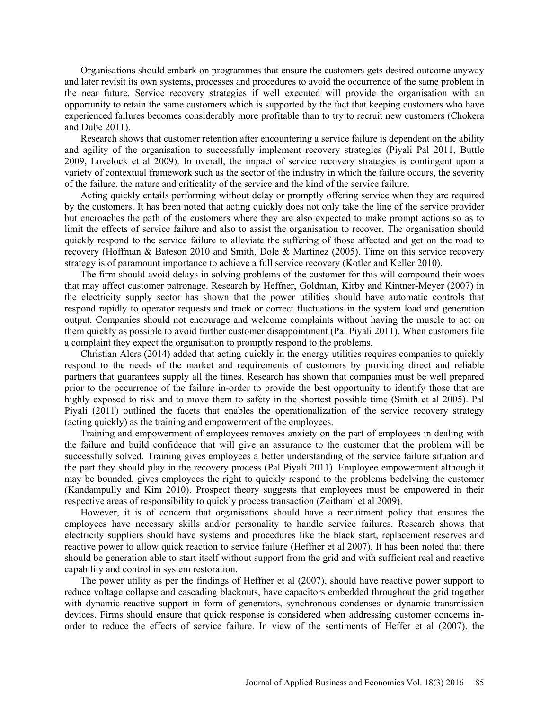Organisations should embark on programmes that ensure the customers gets desired outcome anyway and later revisit its own systems, processes and procedures to avoid the occurrence of the same problem in the near future. Service recovery strategies if well executed will provide the organisation with an opportunity to retain the same customers which is supported by the fact that keeping customers who have experienced failures becomes considerably more profitable than to try to recruit new customers (Chokera and Dube 2011).

Research shows that customer retention after encountering a service failure is dependent on the ability and agility of the organisation to successfully implement recovery strategies (Piyali Pal 2011, Buttle 2009, Lovelock et al 2009). In overall, the impact of service recovery strategies is contingent upon a variety of contextual framework such as the sector of the industry in which the failure occurs, the severity of the failure, the nature and criticality of the service and the kind of the service failure.

Acting quickly entails performing without delay or promptly offering service when they are required by the customers. It has been noted that acting quickly does not only take the line of the service provider but encroaches the path of the customers where they are also expected to make prompt actions so as to limit the effects of service failure and also to assist the organisation to recover. The organisation should quickly respond to the service failure to alleviate the suffering of those affected and get on the road to recovery (Hoffman & Bateson 2010 and Smith, Dole & Martinez (2005). Time on this service recovery strategy is of paramount importance to achieve a full service recovery (Kotler and Keller 2010).

The firm should avoid delays in solving problems of the customer for this will compound their woes that may affect customer patronage. Research by Heffner, Goldman, Kirby and Kintner-Meyer (2007) in the electricity supply sector has shown that the power utilities should have automatic controls that respond rapidly to operator requests and track or correct fluctuations in the system load and generation output. Companies should not encourage and welcome complaints without having the muscle to act on them quickly as possible to avoid further customer disappointment (Pal Piyali 2011). When customers file a complaint they expect the organisation to promptly respond to the problems.

Christian Alers (2014) added that acting quickly in the energy utilities requires companies to quickly respond to the needs of the market and requirements of customers by providing direct and reliable partners that guarantees supply all the times. Research has shown that companies must be well prepared prior to the occurrence of the failure in-order to provide the best opportunity to identify those that are highly exposed to risk and to move them to safety in the shortest possible time (Smith et al 2005). Pal Piyali (2011) outlined the facets that enables the operationalization of the service recovery strategy (acting quickly) as the training and empowerment of the employees.

Training and empowerment of employees removes anxiety on the part of employees in dealing with the failure and build confidence that will give an assurance to the customer that the problem will be successfully solved. Training gives employees a better understanding of the service failure situation and the part they should play in the recovery process (Pal Piyali 2011). Employee empowerment although it may be bounded, gives employees the right to quickly respond to the problems bedelving the customer (Kandampully and Kim 2010). Prospect theory suggests that employees must be empowered in their respective areas of responsibility to quickly process transaction (Zeithaml et al 2009).

However, it is of concern that organisations should have a recruitment policy that ensures the employees have necessary skills and/or personality to handle service failures. Research shows that electricity suppliers should have systems and procedures like the black start, replacement reserves and reactive power to allow quick reaction to service failure (Heffner et al 2007). It has been noted that there should be generation able to start itself without support from the grid and with sufficient real and reactive capability and control in system restoration.

The power utility as per the findings of Heffner et al (2007), should have reactive power support to reduce voltage collapse and cascading blackouts, have capacitors embedded throughout the grid together with dynamic reactive support in form of generators, synchronous condenses or dynamic transmission devices. Firms should ensure that quick response is considered when addressing customer concerns inorder to reduce the effects of service failure. In view of the sentiments of Heffer et al (2007), the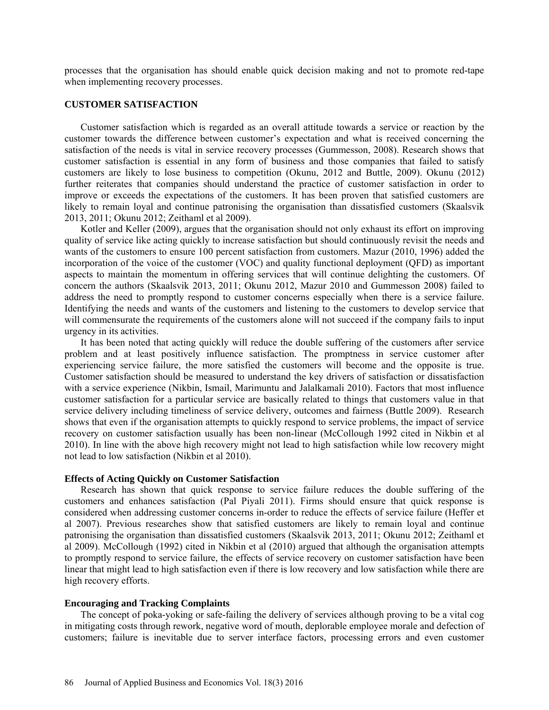processes that the organisation has should enable quick decision making and not to promote red-tape when implementing recovery processes.

# **CUSTOMER SATISFACTION**

Customer satisfaction which is regarded as an overall attitude towards a service or reaction by the customer towards the difference between customer's expectation and what is received concerning the satisfaction of the needs is vital in service recovery processes (Gummesson, 2008). Research shows that customer satisfaction is essential in any form of business and those companies that failed to satisfy customers are likely to lose business to competition (Okunu, 2012 and Buttle, 2009). Okunu (2012) further reiterates that companies should understand the practice of customer satisfaction in order to improve or exceeds the expectations of the customers. It has been proven that satisfied customers are likely to remain loyal and continue patronising the organisation than dissatisfied customers (Skaalsvik 2013, 2011; Okunu 2012; Zeithaml et al 2009).

Kotler and Keller (2009), argues that the organisation should not only exhaust its effort on improving quality of service like acting quickly to increase satisfaction but should continuously revisit the needs and wants of the customers to ensure 100 percent satisfaction from customers. Mazur (2010, 1996) added the incorporation of the voice of the customer (VOC) and quality functional deployment (QFD) as important aspects to maintain the momentum in offering services that will continue delighting the customers. Of concern the authors (Skaalsvik 2013, 2011; Okunu 2012, Mazur 2010 and Gummesson 2008) failed to address the need to promptly respond to customer concerns especially when there is a service failure. Identifying the needs and wants of the customers and listening to the customers to develop service that will commensurate the requirements of the customers alone will not succeed if the company fails to input urgency in its activities.

It has been noted that acting quickly will reduce the double suffering of the customers after service problem and at least positively influence satisfaction. The promptness in service customer after experiencing service failure, the more satisfied the customers will become and the opposite is true. Customer satisfaction should be measured to understand the key drivers of satisfaction or dissatisfaction with a service experience (Nikbin, Ismail, Marimuntu and Jalalkamali 2010). Factors that most influence customer satisfaction for a particular service are basically related to things that customers value in that service delivery including timeliness of service delivery, outcomes and fairness (Buttle 2009). Research shows that even if the organisation attempts to quickly respond to service problems, the impact of service recovery on customer satisfaction usually has been non-linear (McCollough 1992 cited in Nikbin et al 2010). In line with the above high recovery might not lead to high satisfaction while low recovery might not lead to low satisfaction (Nikbin et al 2010).

# **Effects of Acting Quickly on Customer Satisfaction**

Research has shown that quick response to service failure reduces the double suffering of the customers and enhances satisfaction (Pal Piyali 2011). Firms should ensure that quick response is considered when addressing customer concerns in-order to reduce the effects of service failure (Heffer et al 2007). Previous researches show that satisfied customers are likely to remain loyal and continue patronising the organisation than dissatisfied customers (Skaalsvik 2013, 2011; Okunu 2012; Zeithaml et al 2009). McCollough (1992) cited in Nikbin et al (2010) argued that although the organisation attempts to promptly respond to service failure, the effects of service recovery on customer satisfaction have been linear that might lead to high satisfaction even if there is low recovery and low satisfaction while there are high recovery efforts.

#### **Encouraging and Tracking Complaints**

The concept of poka-yoking or safe-failing the delivery of services although proving to be a vital cog in mitigating costs through rework, negative word of mouth, deplorable employee morale and defection of customers; failure is inevitable due to server interface factors, processing errors and even customer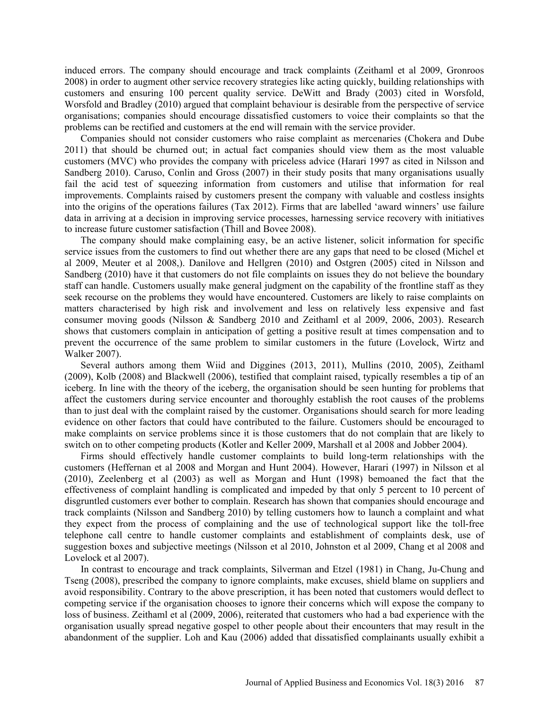induced errors. The company should encourage and track complaints (Zeithaml et al 2009, Gronroos 2008) in order to augment other service recovery strategies like acting quickly, building relationships with customers and ensuring 100 percent quality service. DeWitt and Brady (2003) cited in Worsfold, Worsfold and Bradley (2010) argued that complaint behaviour is desirable from the perspective of service organisations; companies should encourage dissatisfied customers to voice their complaints so that the problems can be rectified and customers at the end will remain with the service provider.

Companies should not consider customers who raise complaint as mercenaries (Chokera and Dube 2011) that should be churned out; in actual fact companies should view them as the most valuable customers (MVC) who provides the company with priceless advice (Harari 1997 as cited in Nilsson and Sandberg 2010). Caruso, Conlin and Gross (2007) in their study posits that many organisations usually fail the acid test of squeezing information from customers and utilise that information for real improvements. Complaints raised by customers present the company with valuable and costless insights into the origins of the operations failures (Tax 2012). Firms that are labelled 'award winners' use failure data in arriving at a decision in improving service processes, harnessing service recovery with initiatives to increase future customer satisfaction (Thill and Bovee 2008).

The company should make complaining easy, be an active listener, solicit information for specific service issues from the customers to find out whether there are any gaps that need to be closed (Michel et al 2009, Meuter et al 2008,). Danilove and Hellgren (2010) and Ostgren (2005) cited in Nilsson and Sandberg (2010) have it that customers do not file complaints on issues they do not believe the boundary staff can handle. Customers usually make general judgment on the capability of the frontline staff as they seek recourse on the problems they would have encountered. Customers are likely to raise complaints on matters characterised by high risk and involvement and less on relatively less expensive and fast consumer moving goods (Nilsson & Sandberg 2010 and Zeithaml et al 2009, 2006, 2003). Research shows that customers complain in anticipation of getting a positive result at times compensation and to prevent the occurrence of the same problem to similar customers in the future (Lovelock, Wirtz and Walker 2007).

Several authors among them Wiid and Diggines (2013, 2011), Mullins (2010, 2005), Zeithaml (2009), Kolb (2008) and Blackwell (2006), testified that complaint raised, typically resembles a tip of an iceberg. In line with the theory of the iceberg, the organisation should be seen hunting for problems that affect the customers during service encounter and thoroughly establish the root causes of the problems than to just deal with the complaint raised by the customer. Organisations should search for more leading evidence on other factors that could have contributed to the failure. Customers should be encouraged to make complaints on service problems since it is those customers that do not complain that are likely to switch on to other competing products (Kotler and Keller 2009, Marshall et al 2008 and Jobber 2004).

Firms should effectively handle customer complaints to build long-term relationships with the customers (Heffernan et al 2008 and Morgan and Hunt 2004). However, Harari (1997) in Nilsson et al (2010), Zeelenberg et al (2003) as well as Morgan and Hunt (1998) bemoaned the fact that the effectiveness of complaint handling is complicated and impeded by that only 5 percent to 10 percent of disgruntled customers ever bother to complain. Research has shown that companies should encourage and track complaints (Nilsson and Sandberg 2010) by telling customers how to launch a complaint and what they expect from the process of complaining and the use of technological support like the toll-free telephone call centre to handle customer complaints and establishment of complaints desk, use of suggestion boxes and subjective meetings (Nilsson et al 2010, Johnston et al 2009, Chang et al 2008 and Lovelock et al 2007).

In contrast to encourage and track complaints, Silverman and Etzel (1981) in Chang, Ju-Chung and Tseng (2008), prescribed the company to ignore complaints, make excuses, shield blame on suppliers and avoid responsibility. Contrary to the above prescription, it has been noted that customers would deflect to competing service if the organisation chooses to ignore their concerns which will expose the company to loss of business. Zeithaml et al (2009, 2006), reiterated that customers who had a bad experience with the organisation usually spread negative gospel to other people about their encounters that may result in the abandonment of the supplier. Loh and Kau (2006) added that dissatisfied complainants usually exhibit a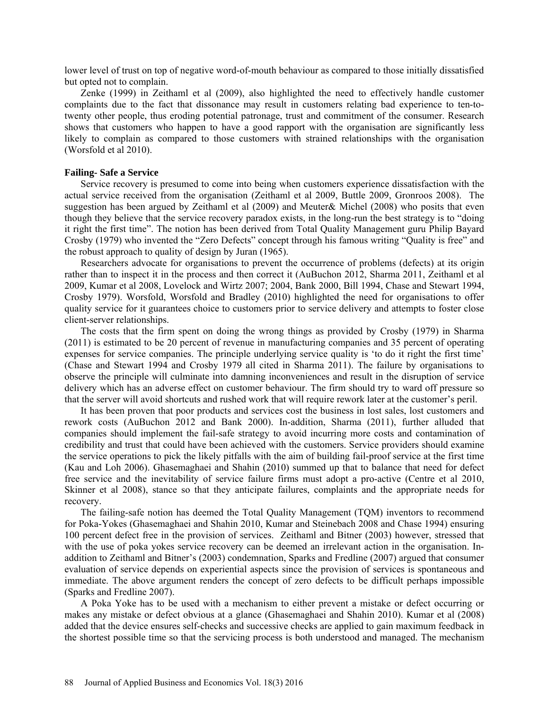lower level of trust on top of negative word-of-mouth behaviour as compared to those initially dissatisfied but opted not to complain.

Zenke (1999) in Zeithaml et al (2009), also highlighted the need to effectively handle customer complaints due to the fact that dissonance may result in customers relating bad experience to ten-totwenty other people, thus eroding potential patronage, trust and commitment of the consumer. Research shows that customers who happen to have a good rapport with the organisation are significantly less likely to complain as compared to those customers with strained relationships with the organisation (Worsfold et al 2010).

### **Failing- Safe a Service**

Service recovery is presumed to come into being when customers experience dissatisfaction with the actual service received from the organisation (Zeithaml et al 2009, Buttle 2009, Gronroos 2008). The suggestion has been argued by Zeithaml et al (2009) and Meuter& Michel (2008) who posits that even though they believe that the service recovery paradox exists, in the long-run the best strategy is to "doing it right the first time". The notion has been derived from Total Quality Management guru Philip Bayard Crosby (1979) who invented the "Zero Defects" concept through his famous writing "Quality is free" and the robust approach to quality of design by Juran (1965).

Researchers advocate for organisations to prevent the occurrence of problems (defects) at its origin rather than to inspect it in the process and then correct it (AuBuchon 2012, Sharma 2011, Zeithaml et al 2009, Kumar et al 2008, Lovelock and Wirtz 2007; 2004, Bank 2000, Bill 1994, Chase and Stewart 1994, Crosby 1979). Worsfold, Worsfold and Bradley (2010) highlighted the need for organisations to offer quality service for it guarantees choice to customers prior to service delivery and attempts to foster close client-server relationships.

The costs that the firm spent on doing the wrong things as provided by Crosby (1979) in Sharma (2011) is estimated to be 20 percent of revenue in manufacturing companies and 35 percent of operating expenses for service companies. The principle underlying service quality is 'to do it right the first time' (Chase and Stewart 1994 and Crosby 1979 all cited in Sharma 2011). The failure by organisations to observe the principle will culminate into damning inconveniences and result in the disruption of service delivery which has an adverse effect on customer behaviour. The firm should try to ward off pressure so that the server will avoid shortcuts and rushed work that will require rework later at the customer's peril.

It has been proven that poor products and services cost the business in lost sales, lost customers and rework costs (AuBuchon 2012 and Bank 2000). In-addition, Sharma (2011), further alluded that companies should implement the fail-safe strategy to avoid incurring more costs and contamination of credibility and trust that could have been achieved with the customers. Service providers should examine the service operations to pick the likely pitfalls with the aim of building fail-proof service at the first time (Kau and Loh 2006). Ghasemaghaei and Shahin (2010) summed up that to balance that need for defect free service and the inevitability of service failure firms must adopt a pro-active (Centre et al 2010, Skinner et al 2008), stance so that they anticipate failures, complaints and the appropriate needs for recovery.

The failing-safe notion has deemed the Total Quality Management (TQM) inventors to recommend for Poka-Yokes (Ghasemaghaei and Shahin 2010, Kumar and Steinebach 2008 and Chase 1994) ensuring 100 percent defect free in the provision of services. Zeithaml and Bitner (2003) however, stressed that with the use of poka yokes service recovery can be deemed an irrelevant action in the organisation. Inaddition to Zeithaml and Bitner's (2003) condemnation, Sparks and Fredline (2007) argued that consumer evaluation of service depends on experiential aspects since the provision of services is spontaneous and immediate. The above argument renders the concept of zero defects to be difficult perhaps impossible (Sparks and Fredline 2007).

A Poka Yoke has to be used with a mechanism to either prevent a mistake or defect occurring or makes any mistake or defect obvious at a glance (Ghasemaghaei and Shahin 2010). Kumar et al (2008) added that the device ensures self-checks and successive checks are applied to gain maximum feedback in the shortest possible time so that the servicing process is both understood and managed. The mechanism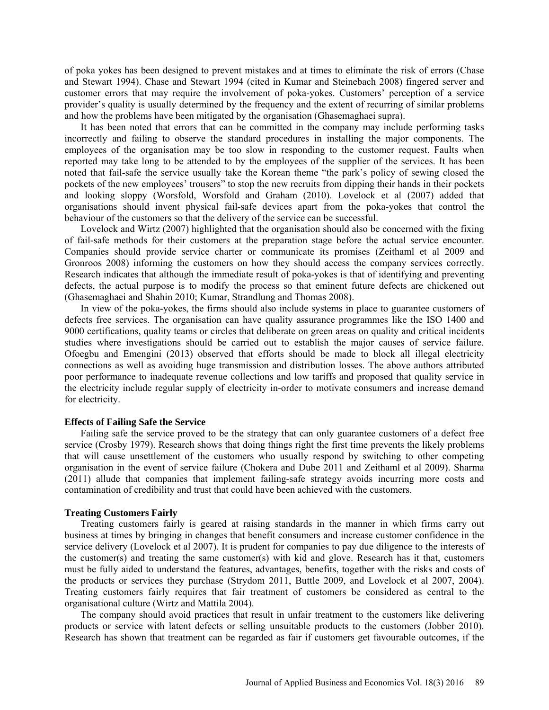of poka yokes has been designed to prevent mistakes and at times to eliminate the risk of errors (Chase and Stewart 1994). Chase and Stewart 1994 (cited in Kumar and Steinebach 2008) fingered server and customer errors that may require the involvement of poka-yokes. Customers' perception of a service provider's quality is usually determined by the frequency and the extent of recurring of similar problems and how the problems have been mitigated by the organisation (Ghasemaghaei supra).

It has been noted that errors that can be committed in the company may include performing tasks incorrectly and failing to observe the standard procedures in installing the major components. The employees of the organisation may be too slow in responding to the customer request. Faults when reported may take long to be attended to by the employees of the supplier of the services. It has been noted that fail-safe the service usually take the Korean theme "the park's policy of sewing closed the pockets of the new employees' trousers" to stop the new recruits from dipping their hands in their pockets and looking sloppy (Worsfold, Worsfold and Graham (2010). Lovelock et al (2007) added that organisations should invent physical fail-safe devices apart from the poka-yokes that control the behaviour of the customers so that the delivery of the service can be successful.

Lovelock and Wirtz (2007) highlighted that the organisation should also be concerned with the fixing of fail-safe methods for their customers at the preparation stage before the actual service encounter. Companies should provide service charter or communicate its promises (Zeithaml et al 2009 and Gronroos 2008) informing the customers on how they should access the company services correctly. Research indicates that although the immediate result of poka-yokes is that of identifying and preventing defects, the actual purpose is to modify the process so that eminent future defects are chickened out (Ghasemaghaei and Shahin 2010; Kumar, Strandlung and Thomas 2008).

In view of the poka-yokes, the firms should also include systems in place to guarantee customers of defects free services. The organisation can have quality assurance programmes like the ISO 1400 and 9000 certifications, quality teams or circles that deliberate on green areas on quality and critical incidents studies where investigations should be carried out to establish the major causes of service failure. Ofoegbu and Emengini (2013) observed that efforts should be made to block all illegal electricity connections as well as avoiding huge transmission and distribution losses. The above authors attributed poor performance to inadequate revenue collections and low tariffs and proposed that quality service in the electricity include regular supply of electricity in-order to motivate consumers and increase demand for electricity.

#### **Effects of Failing Safe the Service**

Failing safe the service proved to be the strategy that can only guarantee customers of a defect free service (Crosby 1979). Research shows that doing things right the first time prevents the likely problems that will cause unsettlement of the customers who usually respond by switching to other competing organisation in the event of service failure (Chokera and Dube 2011 and Zeithaml et al 2009). Sharma (2011) allude that companies that implement failing-safe strategy avoids incurring more costs and contamination of credibility and trust that could have been achieved with the customers.

#### **Treating Customers Fairly**

Treating customers fairly is geared at raising standards in the manner in which firms carry out business at times by bringing in changes that benefit consumers and increase customer confidence in the service delivery (Lovelock et al 2007). It is prudent for companies to pay due diligence to the interests of the customer(s) and treating the same customer(s) with kid and glove. Research has it that, customers must be fully aided to understand the features, advantages, benefits, together with the risks and costs of the products or services they purchase (Strydom 2011, Buttle 2009, and Lovelock et al 2007, 2004). Treating customers fairly requires that fair treatment of customers be considered as central to the organisational culture (Wirtz and Mattila 2004).

The company should avoid practices that result in unfair treatment to the customers like delivering products or service with latent defects or selling unsuitable products to the customers (Jobber 2010). Research has shown that treatment can be regarded as fair if customers get favourable outcomes, if the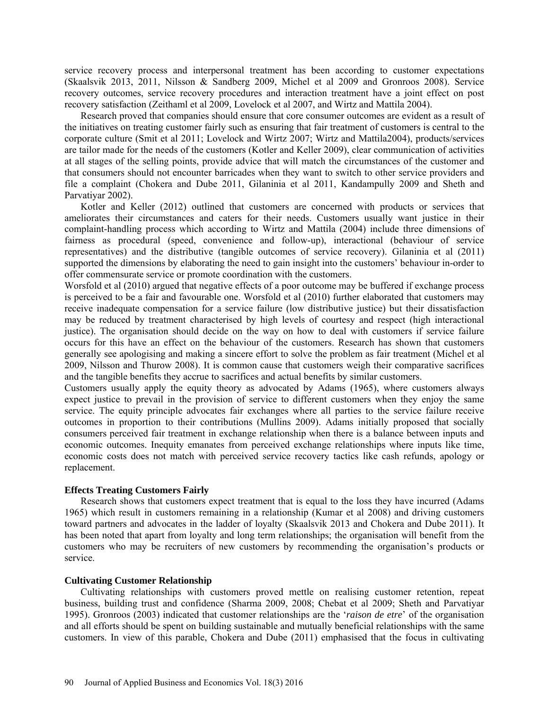service recovery process and interpersonal treatment has been according to customer expectations (Skaalsvik 2013, 2011, Nilsson & Sandberg 2009, Michel et al 2009 and Gronroos 2008). Service recovery outcomes, service recovery procedures and interaction treatment have a joint effect on post recovery satisfaction (Zeithaml et al 2009, Lovelock et al 2007, and Wirtz and Mattila 2004).

Research proved that companies should ensure that core consumer outcomes are evident as a result of the initiatives on treating customer fairly such as ensuring that fair treatment of customers is central to the corporate culture (Smit et al 2011; Lovelock and Wirtz 2007; Wirtz and Mattila2004), products/services are tailor made for the needs of the customers (Kotler and Keller 2009), clear communication of activities at all stages of the selling points, provide advice that will match the circumstances of the customer and that consumers should not encounter barricades when they want to switch to other service providers and file a complaint (Chokera and Dube 2011, Gilaninia et al 2011, Kandampully 2009 and Sheth and Parvatiyar 2002).

Kotler and Keller (2012) outlined that customers are concerned with products or services that ameliorates their circumstances and caters for their needs. Customers usually want justice in their complaint-handling process which according to Wirtz and Mattila (2004) include three dimensions of fairness as procedural (speed, convenience and follow-up), interactional (behaviour of service representatives) and the distributive (tangible outcomes of service recovery). Gilaninia et al (2011) supported the dimensions by elaborating the need to gain insight into the customers' behaviour in-order to offer commensurate service or promote coordination with the customers.

Worsfold et al (2010) argued that negative effects of a poor outcome may be buffered if exchange process is perceived to be a fair and favourable one. Worsfold et al (2010) further elaborated that customers may receive inadequate compensation for a service failure (low distributive justice) but their dissatisfaction may be reduced by treatment characterised by high levels of courtesy and respect (high interactional justice). The organisation should decide on the way on how to deal with customers if service failure occurs for this have an effect on the behaviour of the customers. Research has shown that customers generally see apologising and making a sincere effort to solve the problem as fair treatment (Michel et al 2009, Nilsson and Thurow 2008). It is common cause that customers weigh their comparative sacrifices and the tangible benefits they accrue to sacrifices and actual benefits by similar customers.

Customers usually apply the equity theory as advocated by Adams (1965), where customers always expect justice to prevail in the provision of service to different customers when they enjoy the same service. The equity principle advocates fair exchanges where all parties to the service failure receive outcomes in proportion to their contributions (Mullins 2009). Adams initially proposed that socially consumers perceived fair treatment in exchange relationship when there is a balance between inputs and economic outcomes. Inequity emanates from perceived exchange relationships where inputs like time, economic costs does not match with perceived service recovery tactics like cash refunds, apology or replacement.

# **Effects Treating Customers Fairly**

Research shows that customers expect treatment that is equal to the loss they have incurred (Adams 1965) which result in customers remaining in a relationship (Kumar et al 2008) and driving customers toward partners and advocates in the ladder of loyalty (Skaalsvik 2013 and Chokera and Dube 2011). It has been noted that apart from loyalty and long term relationships; the organisation will benefit from the customers who may be recruiters of new customers by recommending the organisation's products or service.

# **Cultivating Customer Relationship**

Cultivating relationships with customers proved mettle on realising customer retention, repeat business, building trust and confidence (Sharma 2009, 2008; Chebat et al 2009; Sheth and Parvatiyar 1995). Gronroos (2003) indicated that customer relationships are the '*raison de etre*' of the organisation and all efforts should be spent on building sustainable and mutually beneficial relationships with the same customers. In view of this parable, Chokera and Dube (2011) emphasised that the focus in cultivating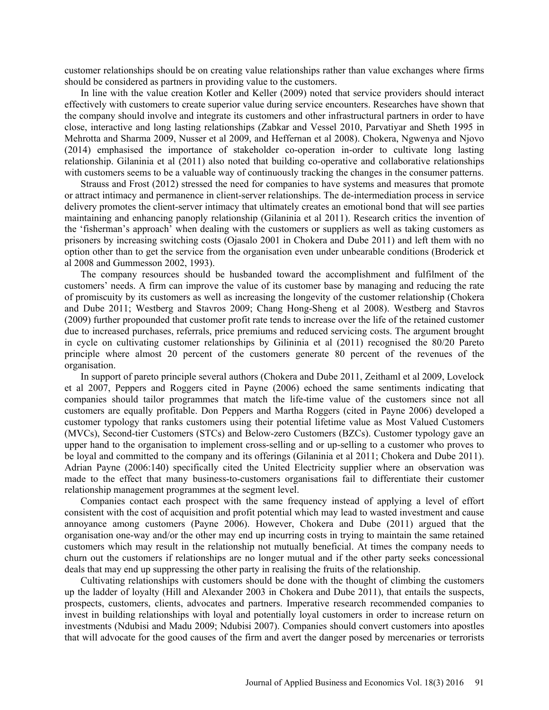customer relationships should be on creating value relationships rather than value exchanges where firms should be considered as partners in providing value to the customers.

In line with the value creation Kotler and Keller (2009) noted that service providers should interact effectively with customers to create superior value during service encounters. Researches have shown that the company should involve and integrate its customers and other infrastructural partners in order to have close, interactive and long lasting relationships (Zabkar and Vessel 2010, Parvatiyar and Sheth 1995 in Mehrotta and Sharma 2009, Nusser et al 2009, and Heffernan et al 2008). Chokera, Ngwenya and Njovo (2014) emphasised the importance of stakeholder co-operation in-order to cultivate long lasting relationship. Gilaninia et al (2011) also noted that building co-operative and collaborative relationships with customers seems to be a valuable way of continuously tracking the changes in the consumer patterns.

Strauss and Frost (2012) stressed the need for companies to have systems and measures that promote or attract intimacy and permanence in client-server relationships. The de-intermediation process in service delivery promotes the client-server intimacy that ultimately creates an emotional bond that will see parties maintaining and enhancing panoply relationship (Gilaninia et al 2011). Research critics the invention of the 'fisherman's approach' when dealing with the customers or suppliers as well as taking customers as prisoners by increasing switching costs (Ojasalo 2001 in Chokera and Dube 2011) and left them with no option other than to get the service from the organisation even under unbearable conditions (Broderick et al 2008 and Gummesson 2002, 1993).

The company resources should be husbanded toward the accomplishment and fulfilment of the customers' needs. A firm can improve the value of its customer base by managing and reducing the rate of promiscuity by its customers as well as increasing the longevity of the customer relationship (Chokera and Dube 2011; Westberg and Stavros 2009; Chang Hong-Sheng et al 2008). Westberg and Stavros (2009) further propounded that customer profit rate tends to increase over the life of the retained customer due to increased purchases, referrals, price premiums and reduced servicing costs. The argument brought in cycle on cultivating customer relationships by Gilininia et al (2011) recognised the 80/20 Pareto principle where almost 20 percent of the customers generate 80 percent of the revenues of the organisation.

In support of pareto principle several authors (Chokera and Dube 2011, Zeithaml et al 2009, Lovelock et al 2007, Peppers and Roggers cited in Payne (2006) echoed the same sentiments indicating that companies should tailor programmes that match the life-time value of the customers since not all customers are equally profitable. Don Peppers and Martha Roggers (cited in Payne 2006) developed a customer typology that ranks customers using their potential lifetime value as Most Valued Customers (MVCs), Second-tier Customers (STCs) and Below-zero Customers (BZCs). Customer typology gave an upper hand to the organisation to implement cross-selling and or up-selling to a customer who proves to be loyal and committed to the company and its offerings (Gilaninia et al 2011; Chokera and Dube 2011). Adrian Payne (2006:140) specifically cited the United Electricity supplier where an observation was made to the effect that many business-to-customers organisations fail to differentiate their customer relationship management programmes at the segment level.

Companies contact each prospect with the same frequency instead of applying a level of effort consistent with the cost of acquisition and profit potential which may lead to wasted investment and cause annoyance among customers (Payne 2006). However, Chokera and Dube (2011) argued that the organisation one-way and/or the other may end up incurring costs in trying to maintain the same retained customers which may result in the relationship not mutually beneficial. At times the company needs to churn out the customers if relationships are no longer mutual and if the other party seeks concessional deals that may end up suppressing the other party in realising the fruits of the relationship.

Cultivating relationships with customers should be done with the thought of climbing the customers up the ladder of loyalty (Hill and Alexander 2003 in Chokera and Dube 2011), that entails the suspects, prospects, customers, clients, advocates and partners. Imperative research recommended companies to invest in building relationships with loyal and potentially loyal customers in order to increase return on investments (Ndubisi and Madu 2009; Ndubisi 2007). Companies should convert customers into apostles that will advocate for the good causes of the firm and avert the danger posed by mercenaries or terrorists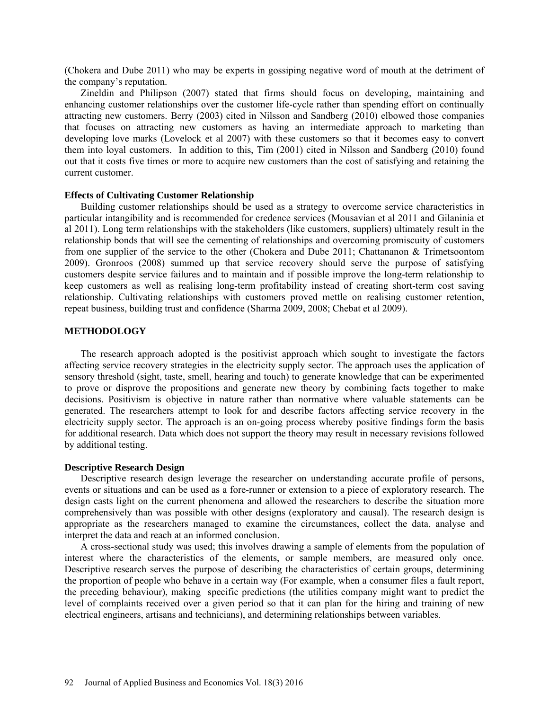(Chokera and Dube 2011) who may be experts in gossiping negative word of mouth at the detriment of the company's reputation.

Zineldin and Philipson (2007) stated that firms should focus on developing, maintaining and enhancing customer relationships over the customer life-cycle rather than spending effort on continually attracting new customers. Berry (2003) cited in Nilsson and Sandberg (2010) elbowed those companies that focuses on attracting new customers as having an intermediate approach to marketing than developing love marks (Lovelock et al 2007) with these customers so that it becomes easy to convert them into loyal customers. In addition to this, Tim (2001) cited in Nilsson and Sandberg (2010) found out that it costs five times or more to acquire new customers than the cost of satisfying and retaining the current customer.

### **Effects of Cultivating Customer Relationship**

Building customer relationships should be used as a strategy to overcome service characteristics in particular intangibility and is recommended for credence services (Mousavian et al 2011 and Gilaninia et al 2011). Long term relationships with the stakeholders (like customers, suppliers) ultimately result in the relationship bonds that will see the cementing of relationships and overcoming promiscuity of customers from one supplier of the service to the other (Chokera and Dube 2011; Chattananon & Trimetsoontom 2009). Gronroos (2008) summed up that service recovery should serve the purpose of satisfying customers despite service failures and to maintain and if possible improve the long-term relationship to keep customers as well as realising long-term profitability instead of creating short-term cost saving relationship. Cultivating relationships with customers proved mettle on realising customer retention, repeat business, building trust and confidence (Sharma 2009, 2008; Chebat et al 2009).

#### **METHODOLOGY**

The research approach adopted is the positivist approach which sought to investigate the factors affecting service recovery strategies in the electricity supply sector. The approach uses the application of sensory threshold (sight, taste, smell, hearing and touch) to generate knowledge that can be experimented to prove or disprove the propositions and generate new theory by combining facts together to make decisions. Positivism is objective in nature rather than normative where valuable statements can be generated. The researchers attempt to look for and describe factors affecting service recovery in the electricity supply sector. The approach is an on-going process whereby positive findings form the basis for additional research. Data which does not support the theory may result in necessary revisions followed by additional testing.

#### **Descriptive Research Design**

Descriptive research design leverage the researcher on understanding accurate profile of persons, events or situations and can be used as a fore-runner or extension to a piece of exploratory research. The design casts light on the current phenomena and allowed the researchers to describe the situation more comprehensively than was possible with other designs (exploratory and causal). The research design is appropriate as the researchers managed to examine the circumstances, collect the data, analyse and interpret the data and reach at an informed conclusion.

A cross-sectional study was used; this involves drawing a sample of elements from the population of interest where the characteristics of the elements, or sample members, are measured only once. Descriptive research serves the purpose of describing the characteristics of certain groups, determining the proportion of people who behave in a certain way (For example, when a consumer files a fault report, the preceding behaviour), making specific predictions (the utilities company might want to predict the level of complaints received over a given period so that it can plan for the hiring and training of new electrical engineers, artisans and technicians), and determining relationships between variables.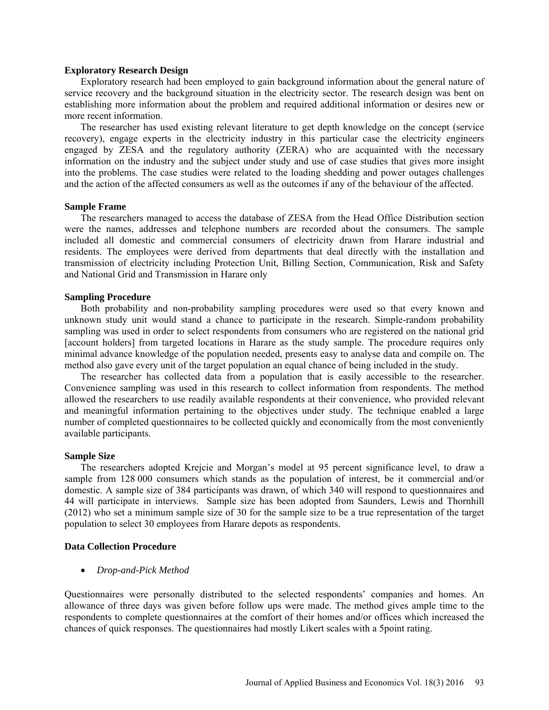#### **Exploratory Research Design**

Exploratory research had been employed to gain background information about the general nature of service recovery and the background situation in the electricity sector. The research design was bent on establishing more information about the problem and required additional information or desires new or more recent information.

The researcher has used existing relevant literature to get depth knowledge on the concept (service recovery), engage experts in the electricity industry in this particular case the electricity engineers engaged by ZESA and the regulatory authority (ZERA) who are acquainted with the necessary information on the industry and the subject under study and use of case studies that gives more insight into the problems. The case studies were related to the loading shedding and power outages challenges and the action of the affected consumers as well as the outcomes if any of the behaviour of the affected.

#### **Sample Frame**

The researchers managed to access the database of ZESA from the Head Office Distribution section were the names, addresses and telephone numbers are recorded about the consumers. The sample included all domestic and commercial consumers of electricity drawn from Harare industrial and residents. The employees were derived from departments that deal directly with the installation and transmission of electricity including Protection Unit, Billing Section, Communication, Risk and Safety and National Grid and Transmission in Harare only

### **Sampling Procedure**

Both probability and non-probability sampling procedures were used so that every known and unknown study unit would stand a chance to participate in the research. Simple-random probability sampling was used in order to select respondents from consumers who are registered on the national grid [account holders] from targeted locations in Harare as the study sample. The procedure requires only minimal advance knowledge of the population needed, presents easy to analyse data and compile on. The method also gave every unit of the target population an equal chance of being included in the study.

The researcher has collected data from a population that is easily accessible to the researcher. Convenience sampling was used in this research to collect information from respondents. The method allowed the researchers to use readily available respondents at their convenience, who provided relevant and meaningful information pertaining to the objectives under study. The technique enabled a large number of completed questionnaires to be collected quickly and economically from the most conveniently available participants.

# **Sample Size**

The researchers adopted Krejcie and Morgan's model at 95 percent significance level, to draw a sample from 128 000 consumers which stands as the population of interest, be it commercial and/or domestic. A sample size of 384 participants was drawn, of which 340 will respond to questionnaires and 44 will participate in interviews. Sample size has been adopted from Saunders, Lewis and Thornhill (2012) who set a minimum sample size of 30 for the sample size to be a true representation of the target population to select 30 employees from Harare depots as respondents.

# **Data Collection Procedure**

• *Drop-and-Pick Method* 

Questionnaires were personally distributed to the selected respondents' companies and homes. An allowance of three days was given before follow ups were made. The method gives ample time to the respondents to complete questionnaires at the comfort of their homes and/or offices which increased the chances of quick responses. The questionnaires had mostly Likert scales with a 5point rating.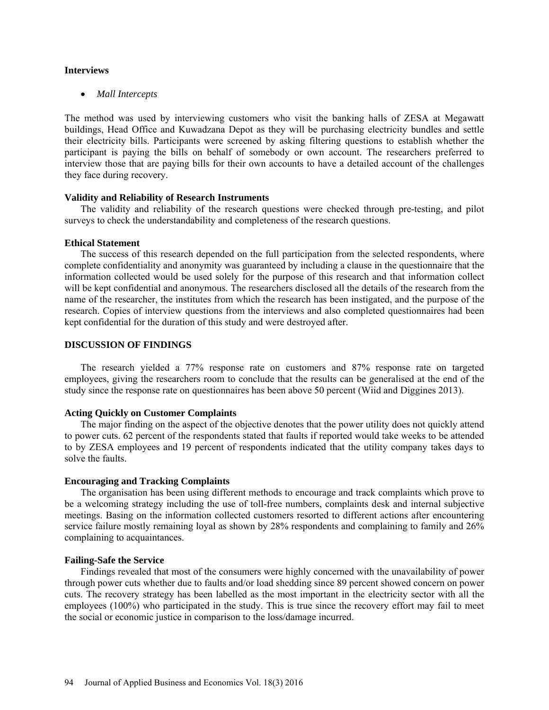#### **Interviews**

• *Mall Intercepts*

The method was used by interviewing customers who visit the banking halls of ZESA at Megawatt buildings, Head Office and Kuwadzana Depot as they will be purchasing electricity bundles and settle their electricity bills. Participants were screened by asking filtering questions to establish whether the participant is paying the bills on behalf of somebody or own account. The researchers preferred to interview those that are paying bills for their own accounts to have a detailed account of the challenges they face during recovery.

# **Validity and Reliability of Research Instruments**

The validity and reliability of the research questions were checked through pre-testing, and pilot surveys to check the understandability and completeness of the research questions.

#### **Ethical Statement**

The success of this research depended on the full participation from the selected respondents, where complete confidentiality and anonymity was guaranteed by including a clause in the questionnaire that the information collected would be used solely for the purpose of this research and that information collect will be kept confidential and anonymous. The researchers disclosed all the details of the research from the name of the researcher, the institutes from which the research has been instigated, and the purpose of the research. Copies of interview questions from the interviews and also completed questionnaires had been kept confidential for the duration of this study and were destroyed after.

# **DISCUSSION OF FINDINGS**

The research yielded a 77% response rate on customers and 87% response rate on targeted employees, giving the researchers room to conclude that the results can be generalised at the end of the study since the response rate on questionnaires has been above 50 percent (Wiid and Diggines 2013).

#### **Acting Quickly on Customer Complaints**

The major finding on the aspect of the objective denotes that the power utility does not quickly attend to power cuts. 62 percent of the respondents stated that faults if reported would take weeks to be attended to by ZESA employees and 19 percent of respondents indicated that the utility company takes days to solve the faults.

#### **Encouraging and Tracking Complaints**

The organisation has been using different methods to encourage and track complaints which prove to be a welcoming strategy including the use of toll-free numbers, complaints desk and internal subjective meetings. Basing on the information collected customers resorted to different actions after encountering service failure mostly remaining loyal as shown by 28% respondents and complaining to family and 26% complaining to acquaintances.

#### **Failing-Safe the Service**

Findings revealed that most of the consumers were highly concerned with the unavailability of power through power cuts whether due to faults and/or load shedding since 89 percent showed concern on power cuts. The recovery strategy has been labelled as the most important in the electricity sector with all the employees (100%) who participated in the study. This is true since the recovery effort may fail to meet the social or economic justice in comparison to the loss/damage incurred.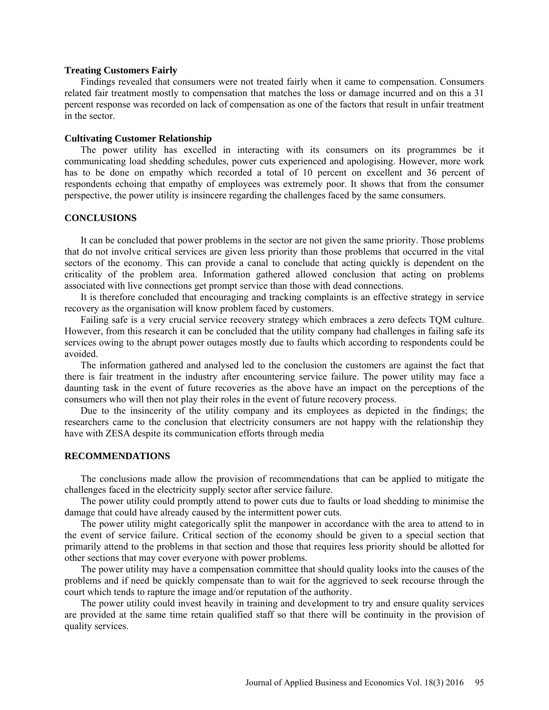#### **Treating Customers Fairly**

Findings revealed that consumers were not treated fairly when it came to compensation. Consumers related fair treatment mostly to compensation that matches the loss or damage incurred and on this a 31 percent response was recorded on lack of compensation as one of the factors that result in unfair treatment in the sector.

# **Cultivating Customer Relationship**

The power utility has excelled in interacting with its consumers on its programmes be it communicating load shedding schedules, power cuts experienced and apologising. However, more work has to be done on empathy which recorded a total of 10 percent on excellent and 36 percent of respondents echoing that empathy of employees was extremely poor. It shows that from the consumer perspective, the power utility is insincere regarding the challenges faced by the same consumers.

#### **CONCLUSIONS**

It can be concluded that power problems in the sector are not given the same priority. Those problems that do not involve critical services are given less priority than those problems that occurred in the vital sectors of the economy. This can provide a canal to conclude that acting quickly is dependent on the criticality of the problem area. Information gathered allowed conclusion that acting on problems associated with live connections get prompt service than those with dead connections.

It is therefore concluded that encouraging and tracking complaints is an effective strategy in service recovery as the organisation will know problem faced by customers.

Failing safe is a very crucial service recovery strategy which embraces a zero defects TQM culture. However, from this research it can be concluded that the utility company had challenges in failing safe its services owing to the abrupt power outages mostly due to faults which according to respondents could be avoided.

The information gathered and analysed led to the conclusion the customers are against the fact that there is fair treatment in the industry after encountering service failure. The power utility may face a daunting task in the event of future recoveries as the above have an impact on the perceptions of the consumers who will then not play their roles in the event of future recovery process.

Due to the insincerity of the utility company and its employees as depicted in the findings; the researchers came to the conclusion that electricity consumers are not happy with the relationship they have with ZESA despite its communication efforts through media

# **RECOMMENDATIONS**

The conclusions made allow the provision of recommendations that can be applied to mitigate the challenges faced in the electricity supply sector after service failure.

The power utility could promptly attend to power cuts due to faults or load shedding to minimise the damage that could have already caused by the intermittent power cuts.

The power utility might categorically split the manpower in accordance with the area to attend to in the event of service failure. Critical section of the economy should be given to a special section that primarily attend to the problems in that section and those that requires less priority should be allotted for other sections that may cover everyone with power problems.

The power utility may have a compensation committee that should quality looks into the causes of the problems and if need be quickly compensate than to wait for the aggrieved to seek recourse through the court which tends to rapture the image and/or reputation of the authority.

The power utility could invest heavily in training and development to try and ensure quality services are provided at the same time retain qualified staff so that there will be continuity in the provision of quality services.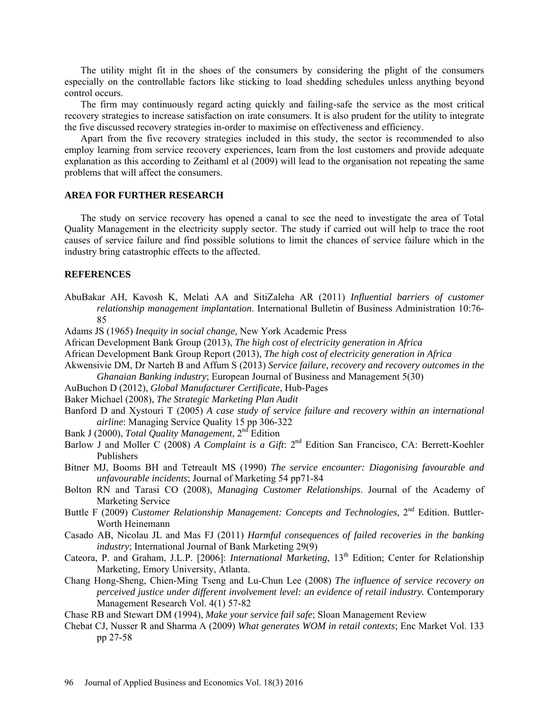The utility might fit in the shoes of the consumers by considering the plight of the consumers especially on the controllable factors like sticking to load shedding schedules unless anything beyond control occurs.

The firm may continuously regard acting quickly and failing-safe the service as the most critical recovery strategies to increase satisfaction on irate consumers. It is also prudent for the utility to integrate the five discussed recovery strategies in-order to maximise on effectiveness and efficiency.

Apart from the five recovery strategies included in this study, the sector is recommended to also employ learning from service recovery experiences, learn from the lost customers and provide adequate explanation as this according to Zeithaml et al (2009) will lead to the organisation not repeating the same problems that will affect the consumers.

# **AREA FOR FURTHER RESEARCH**

The study on service recovery has opened a canal to see the need to investigate the area of Total Quality Management in the electricity supply sector. The study if carried out will help to trace the root causes of service failure and find possible solutions to limit the chances of service failure which in the industry bring catastrophic effects to the affected.

#### **REFERENCES**

- AbuBakar AH, Kavosh K, Melati AA and SitiZaleha AR (2011) *Influential barriers of customer relationship management implantation*. International Bulletin of Business Administration 10:76- 85
- Adams JS (1965) *Inequity in social change,* New York Academic Press
- African Development Bank Group (2013), *The high cost of electricity generation in Africa*
- African Development Bank Group Report (2013), *The high cost of electricity generation in Africa*
- Akwensivie DM, Dr Narteh B and Affum S (2013) *Service failure, recovery and recovery outcomes in the Ghanaian Banking industry*; European Journal of Business and Management 5(30)
- AuBuchon D (2012), *Global Manufacturer Certificate*, Hub-Pages
- Baker Michael (2008), *The Strategic Marketing Plan Audit*
- Banford D and Xystouri T (2005) *A case study of service failure and recovery within an international airline*: Managing Service Quality 15 pp 306-322
- Bank J (2000), *Total Quality Management*, 2nd Edition
- Barlow J and Moller C (2008) *A Complaint is a Gift*: 2<sup>nd</sup> Edition San Francisco, CA: Berrett-Koehler Publishers
- Bitner MJ, Booms BH and Tetreault MS (1990) *The service encounter: Diagonising favourable and unfavourable incidents*; Journal of Marketing 54 pp71-84
- Bolton RN and Tarasi CO (2008), *Managing Customer Relationships*. Journal of the Academy of Marketing Service
- Buttle F (2009) *Customer Relationship Management: Concepts and Technologies*, 2<sup>nd</sup> Edition. Buttler-Worth Heinemann
- Casado AB, Nicolau JL and Mas FJ (2011) *Harmful consequences of failed recoveries in the banking industry*; International Journal of Bank Marketing 29(9)
- Cateora, P. and Graham, J.L.P. [2006]: *International Marketing*, 13<sup>th</sup> Edition; Center for Relationship Marketing, Emory University, Atlanta.
- Chang Hong-Sheng, Chien-Ming Tseng and Lu-Chun Lee (2008) *The influence of service recovery on perceived justice under different involvement level: an evidence of retail industry.* Contemporary Management Research Vol. 4(1) 57-82
- Chase RB and Stewart DM (1994), *Make your service fail safe*; Sloan Management Review
- Chebat CJ, Nusser R and Sharma A (2009) *What generates WOM in retail contexts*; Enc Market Vol. 133 pp 27-58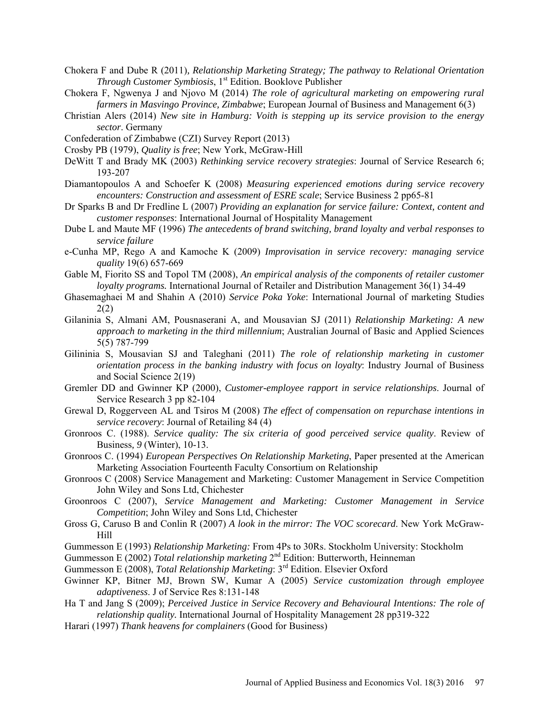- Chokera F and Dube R (2011)*, Relationship Marketing Strategy; The pathway to Relational Orientation Through Customer Symbiosis*, 1<sup>st</sup> Edition. Booklove Publisher
- Chokera F, Ngwenya J and Njovo M (2014) *The role of agricultural marketing on empowering rural farmers in Masvingo Province, Zimbabwe*; European Journal of Business and Management 6(3)
- Christian Alers (2014) *New site in Hamburg: Voith is stepping up its service provision to the energy sector*. Germany
- Confederation of Zimbabwe (CZI) Survey Report (2013)
- Crosby PB (1979), *Quality is free*; New York, McGraw-Hill
- DeWitt T and Brady MK (2003) *Rethinking service recovery strategies*: Journal of Service Research 6; 193-207
- Diamantopoulos A and Schoefer K (2008) *Measuring experienced emotions during service recovery encounters: Construction and assessment of ESRE scale*; Service Business 2 pp65-81
- Dr Sparks B and Dr Fredline L (2007) *Providing an explanation for service failure: Context, content and customer responses*: International Journal of Hospitality Management
- Dube L and Maute MF (1996) *The antecedents of brand switching, brand loyalty and verbal responses to service failure*
- e-Cunha MP, Rego A and Kamoche K (2009) *Improvisation in service recovery: managing service quality* 19(6) 657-669
- Gable M, Fiorito SS and Topol TM (2008), *An empirical analysis of the components of retailer customer loyalty programs.* International Journal of Retailer and Distribution Management 36(1) 34-49
- Ghasemaghaei M and Shahin A (2010) *Service Poka Yoke*: International Journal of marketing Studies 2(2)
- Gilaninia S, Almani AM, Pousnaserani A, and Mousavian SJ (2011) *Relationship Marketing: A new approach to marketing in the third millennium*; Australian Journal of Basic and Applied Sciences 5(5) 787-799
- Gilininia S, Mousavian SJ and Taleghani (2011) *The role of relationship marketing in customer orientation process in the banking industry with focus on loyalty*: Industry Journal of Business and Social Science 2(19)
- Gremler DD and Gwinner KP (2000), *Customer-employee rapport in service relationships*. Journal of Service Research 3 pp 82-104
- Grewal D, Roggerveen AL and Tsiros M (2008) *The effect of compensation on repurchase intentions in service recovery*: Journal of Retailing 84 (4)
- Gronroos C. (1988). *Service quality: The six criteria of good perceived service quality*. Review of Business*, 9* (Winter), 10-13.
- Gronroos C. (1994) *European Perspectives On Relationship Marketing*, Paper presented at the American Marketing Association Fourteenth Faculty Consortium on Relationship
- Gronroos C (2008) Service Management and Marketing: Customer Management in Service Competition John Wiley and Sons Ltd, Chichester
- Groonroos C (2007), *Service Management and Marketing: Customer Management in Service Competition*; John Wiley and Sons Ltd, Chichester
- Gross G, Caruso B and Conlin R (2007) *A look in the mirror: The VOC scorecard*. New York McGraw-Hill
- Gummesson E (1993) *Relationship Marketing:* From 4Ps to 30Rs. Stockholm University: Stockholm
- Gummesson E (2002) *Total relationship marketing* 2<sup>nd</sup> Edition: Butterworth, Heinneman
- Gummesson E (2008), *Total Relationship Marketing*: 3rd Edition. Elsevier Oxford
- Gwinner KP, Bitner MJ, Brown SW, Kumar A (2005) *Service customization through employee adaptiveness*. J of Service Res 8:131-148
- Ha T and Jang S (2009); *Perceived Justice in Service Recovery and Behavioural Intentions: The role of relationship quality.* International Journal of Hospitality Management 28 pp319-322
- Harari (1997) *Thank heavens for complainers* (Good for Business)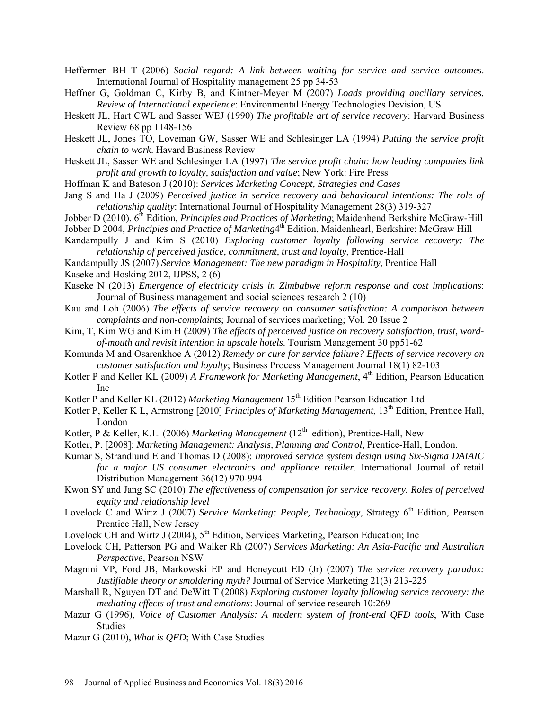- Heffermen BH T (2006) *Social regard: A link between waiting for service and service outcomes*. International Journal of Hospitality management 25 pp 34-53
- Heffner G, Goldman C, Kirby B, and Kintner-Meyer M (2007) *Loads providing ancillary services. Review of International experience*: Environmental Energy Technologies Devision, US
- Heskett JL, Hart CWL and Sasser WEJ (1990) *The profitable art of service recovery*: Harvard Business Review 68 pp 1148-156
- Heskett JL, Jones TO, Loveman GW, Sasser WE and Schlesinger LA (1994) *Putting the service profit chain to work*. Havard Business Review
- Heskett JL, Sasser WE and Schlesinger LA (1997) *The service profit chain: how leading companies link profit and growth to loyalty, satisfaction and value*; New York: Fire Press
- Hoffman K and Bateson J (2010): *Services Marketing Concept, Strategies and Cases*
- Jang S and Ha J (2009) *Perceived justice in service recovery and behavioural intentions: The role of relationship quality*: International Journal of Hospitality Management 28(3) 319-327
- Jobber D (2010),  $6^{\text{th}}$  Edition, *Principles and Practices of Marketing*; Maidenhend Berkshire McGraw-Hill
- Jobber D 2004, *Principles and Practice of Marketing*<sup>4th</sup> Edition, Maidenhearl, Berkshire: McGraw Hill
- Kandampully J and Kim S (2010) *Exploring customer loyalty following service recovery: The relationship of perceived justice, commitment, trust and loyalty*, Prentice-Hall
- Kandampully JS (2007) *Service Management: The new paradigm in Hospitality*, Prentice Hall

Kaseke and Hosking 2012, IJPSS, 2 (6)

- Kaseke N (2013) *Emergence of electricity crisis in Zimbabwe reform response and cost implications*: Journal of Business management and social sciences research 2 (10)
- Kau and Loh (2006) *The effects of service recovery on consumer satisfaction: A comparison between complaints and non-complaints*; Journal of services marketing; Vol. 20 Issue 2
- Kim, T, Kim WG and Kim H (2009) *The effects of perceived justice on recovery satisfaction, trust, wordof-mouth and revisit intention in upscale hotels*. Tourism Management 30 pp51-62
- Komunda M and Osarenkhoe A (2012) *Remedy or cure for service failure? Effects of service recovery on customer satisfaction and loyalty*; Business Process Management Journal 18(1) 82-103
- Kotler P and Keller KL (2009) *A Framework for Marketing Management*, 4<sup>th</sup> Edition, Pearson Education Inc
- Kotler P and Keller KL (2012) *Marketing Management* 15<sup>th</sup> Edition Pearson Education Ltd
- Kotler P, Keller K L, Armstrong [2010] *Principles of Marketing Management*, 13<sup>th</sup> Edition, Prentice Hall, London
- Kotler, P & Keller, K.L. (2006) *Marketing Management* (12<sup>th</sup> edition), Prentice-Hall, New
- Kotler, P. [2008]: *Marketing Management: Analysis, Planning and Control*, Prentice-Hall, London.
- Kumar S, Strandlund E and Thomas D (2008): *Improved service system design using Six-Sigma DAIAIC for a major US consumer electronics and appliance retailer*. International Journal of retail Distribution Management 36(12) 970-994
- Kwon SY and Jang SC (2010) *The effectiveness of compensation for service recovery. Roles of perceived equity and relationship level*
- Lovelock C and Wirtz J (2007) *Service Marketing: People, Technology*, Strategy 6<sup>th</sup> Edition. Pearson Prentice Hall, New Jersey
- Lovelock CH and Wirtz J (2004),  $5<sup>th</sup>$  Edition, Services Marketing, Pearson Education; Inc
- Lovelock CH, Patterson PG and Walker Rh (2007) *Services Marketing: An Asia-Pacific and Australian Perspective*, Pearson NSW
- Magnini VP, Ford JB, Markowski EP and Honeycutt ED (Jr) (2007) *The service recovery paradox: Justifiable theory or smoldering myth?* Journal of Service Marketing 21(3) 213-225
- Marshall R, Nguyen DT and DeWitt T (2008) *Exploring customer loyalty following service recovery: the mediating effects of trust and emotions*: Journal of service research 10:269
- Mazur G (1996), *Voice of Customer Analysis: A modern system of front-end QFD tools*, With Case Studies
- Mazur G (2010), *What is QFD*; With Case Studies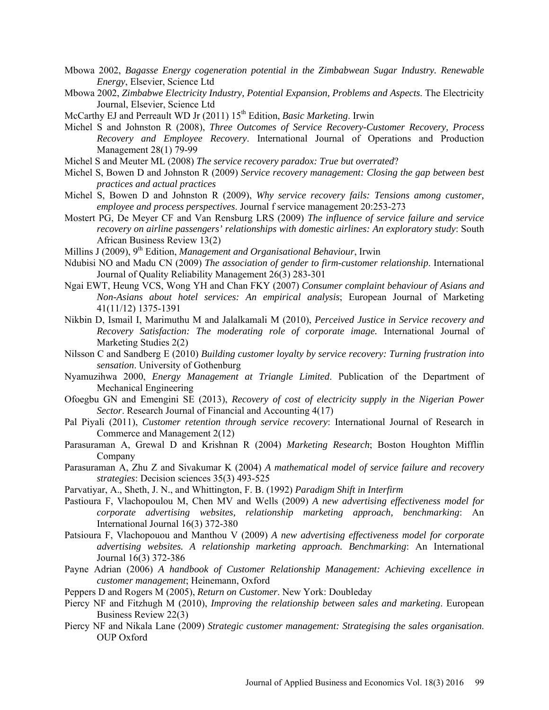- Mbowa 2002, *Bagasse Energy cogeneration potential in the Zimbabwean Sugar Industry. Renewable Energy*, Elsevier, Science Ltd
- Mbowa 2002, *Zimbabwe Electricity Industry, Potential Expansion, Problems and Aspects*. The Electricity Journal, Elsevier, Science Ltd
- McCarthy EJ and Perreault WD Jr (2011) 15<sup>th</sup> Edition, *Basic Marketing*. Irwin
- Michel S and Johnston R (2008), *Three Outcomes of Service Recovery-Customer Recovery, Process Recovery and Employee Recovery*. International Journal of Operations and Production Management 28(1) 79-99
- Michel S and Meuter ML (2008) *The service recovery paradox: True but overrated*?
- Michel S, Bowen D and Johnston R (2009) *Service recovery management: Closing the gap between best practices and actual practices*
- Michel S, Bowen D and Johnston R (2009), *Why service recovery fails: Tensions among customer, employee and process perspectives*. Journal f service management 20:253-273
- Mostert PG, De Meyer CF and Van Rensburg LRS (2009) *The influence of service failure and service recovery on airline passengers' relationships with domestic airlines: An exploratory study*: South African Business Review 13(2)
- Millins J (2009), 9<sup>th</sup> Edition, *Management and Organisational Behaviour*, Irwin
- Ndubisi NO and Madu CN (2009) *The association of gender to firm-customer relationship*. International Journal of Quality Reliability Management 26(3) 283-301
- Ngai EWT, Heung VCS, Wong YH and Chan FKY (2007) *Consumer complaint behaviour of Asians and Non-Asians about hotel services: An empirical analysis*; European Journal of Marketing 41(11/12) 1375-1391
- Nikbin D, Ismail I, Marimuthu M and Jalalkamali M (2010), *Perceived Justice in Service recovery and Recovery Satisfaction: The moderating role of corporate image.* International Journal of Marketing Studies 2(2)
- Nilsson C and Sandberg E (2010) *Building customer loyalty by service recovery: Turning frustration into sensation*. University of Gothenburg
- Nyamuzihwa 2000, *Energy Management at Triangle Limited*. Publication of the Department of Mechanical Engineering
- Ofoegbu GN and Emengini SE (2013), *Recovery of cost of electricity supply in the Nigerian Power Sector*. Research Journal of Financial and Accounting 4(17)
- Pal Piyali (2011), *Customer retention through service recovery*: International Journal of Research in Commerce and Management 2(12)
- Parasuraman A, Grewal D and Krishnan R (2004) *Marketing Research*; Boston Houghton Mifflin Company
- Parasuraman A, Zhu Z and Sivakumar K (2004) *A mathematical model of service failure and recovery strategies*: Decision sciences 35(3) 493-525
- Parvatiyar, A., Sheth, J. N., and Whittington, F. B. (1992) *Paradigm Shift in Interfirm*
- Pastioura F, Vlachopoulou M, Chen MV and Wells (2009) *A new advertising effectiveness model for corporate advertising websites, relationship marketing approach, benchmarking*: An International Journal 16(3) 372-380
- Patsioura F, Vlachopouou and Manthou V (2009) *A new advertising effectiveness model for corporate advertising websites. A relationship marketing approach. Benchmarking*: An International Journal 16(3) 372-386
- Payne Adrian (2006) *A handbook of Customer Relationship Management: Achieving excellence in customer management*; Heinemann, Oxford
- Peppers D and Rogers M (2005), *Return on Customer*. New York: Doubleday
- Piercy NF and Fitzhugh M (2010), *Improving the relationship between sales and marketing*. European Business Review 22(3)
- Piercy NF and Nikala Lane (2009) *Strategic customer management: Strategising the sales organisation*. OUP Oxford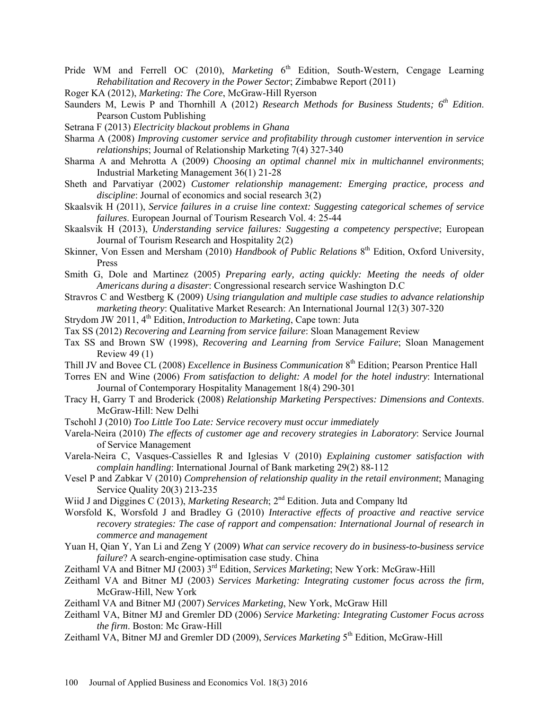- Pride WM and Ferrell OC (2010), *Marketing* 6<sup>th</sup> Edition, South-Western, Cengage Learning *Rehabilitation and Recovery in the Power Sector*; Zimbabwe Report (2011)
- Roger KA (2012), *Marketing: The Core*, McGraw-Hill Ryerson
- Saunders M, Lewis P and Thornhill A (2012) *Research Methods for Business Students;* 6<sup>th</sup> *Edition*. Pearson Custom Publishing
- Setrana F (2013) *Electricity blackout problems in Ghana*
- Sharma A (2008) *Improving customer service and profitability through customer intervention in service relationships*; Journal of Relationship Marketing 7(4) 327-340
- Sharma A and Mehrotta A (2009) *Choosing an optimal channel mix in multichannel environments*; Industrial Marketing Management 36(1) 21-28
- Sheth and Parvatiyar (2002) *Customer relationship management: Emerging practice, process and discipline*: Journal of economics and social research 3(2)
- Skaalsvik H (2011), *Service failures in a cruise line context: Suggesting categorical schemes of service failures*. European Journal of Tourism Research Vol. 4: 25-44
- Skaalsvik H (2013), *Understanding service failures: Suggesting a competency perspective*; European Journal of Tourism Research and Hospitality 2(2)
- Skinner, Von Essen and Mersham (2010) *Handbook of Public Relations* 8<sup>th</sup> Edition, Oxford University, Press
- Smith G, Dole and Martinez (2005) *Preparing early, acting quickly: Meeting the needs of older Americans during a disaster*: Congressional research service Washington D.C
- Stravros C and Westberg K (2009) *Using triangulation and multiple case studies to advance relationship marketing theory*: Qualitative Market Research: An International Journal 12(3) 307-320
- Strydom JW 2011, 4th Edition, *Introduction to Marketing*, Cape town: Juta
- Tax SS (2012) *Recovering and Learning from service failure*: Sloan Management Review
- Tax SS and Brown SW (1998), *Recovering and Learning from Service Failure*; Sloan Management Review 49 (1)
- Thill JV and Bovee CL (2008) *Excellence in Business Communication* 8<sup>th</sup> Edition; Pearson Prentice Hall
- Torres EN and Wine (2006) *From satisfaction to delight: A model for the hotel industry*: International Journal of Contemporary Hospitality Management 18(4) 290-301
- Tracy H, Garry T and Broderick (2008) *Relationship Marketing Perspectives: Dimensions and Contexts*. McGraw-Hill: New Delhi
- Tschohl J (2010) *Too Little Too Late: Service recovery must occur immediately*
- Varela-Neira (2010) *The effects of customer age and recovery strategies in Laboratory*: Service Journal of Service Management
- Varela-Neira C, Vasques-Cassielles R and Iglesias V (2010) *Explaining customer satisfaction with complain handling*: International Journal of Bank marketing 29(2) 88-112
- Vesel P and Zabkar V (2010) *Comprehension of relationship quality in the retail environment*; Managing Service Quality 20(3) 213-235
- Wiid J and Diggines C (2013), *Marketing Research*; 2<sup>nd</sup> Edition. Juta and Company ltd
- Worsfold K, Worsfold J and Bradley G (2010) *Interactive effects of proactive and reactive service recovery strategies: The case of rapport and compensation: International Journal of research in commerce and management*
- Yuan H, Qian Y, Yan Li and Zeng Y (2009) *What can service recovery do in business-to-business service failure*? A search-engine-optimisation case study. China
- Zeithaml VA and Bitner MJ (2003) 3<sup>rd</sup> Edition, *Services Marketing*; New York: McGraw-Hill
- Zeithaml VA and Bitner MJ (2003) *Services Marketing: Integrating customer focus across the firm,* McGraw-Hill, New York
- Zeithaml VA and Bitner MJ (2007) *Services Marketing*, New York, McGraw Hill
- Zeithaml VA, Bitner MJ and Gremler DD (2006) *Service Marketing: Integrating Customer Focus across the firm*. Boston: Mc Graw-Hill
- Zeithaml VA, Bitner MJ and Gremler DD (2009), *Services Marketing* 5<sup>th</sup> Edition, McGraw-Hill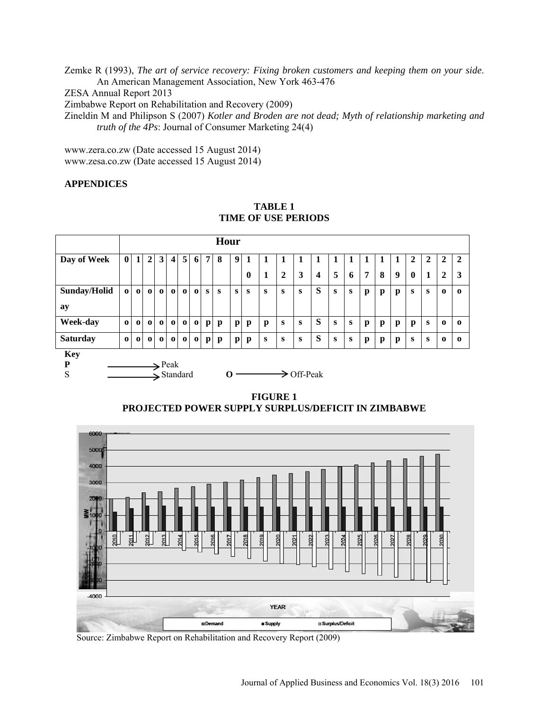Zemke R (1993), *The art of service recovery: Fixing broken customers and keeping them on your side*. An American Management Association, New York 463-476 ZESA Annual Report 2013 Zimbabwe Report on Rehabilitation and Recovery (2009) Zineldin M and Philipson S (2007) *Kotler and Broden are not dead; Myth of relationship marketing and truth of the 4Ps*: Journal of Consumer Marketing 24(4)

[www.zera.co.zw](http://www.zera.co.zw/) (Date accessed 15 August 2014) [www.zesa.co.zw](http://www.zesa.co.zw/) (Date accessed 15 August 2014)

# **APPENDICES**



**TABLE 1 TIME OF USE PERIODS**

**FIGURE 1 PROJECTED POWER SUPPLY SURPLUS/DEFICIT IN ZIMBABWE**



Source: Zimbabwe Report on Rehabilitation and Recovery Report (2009)